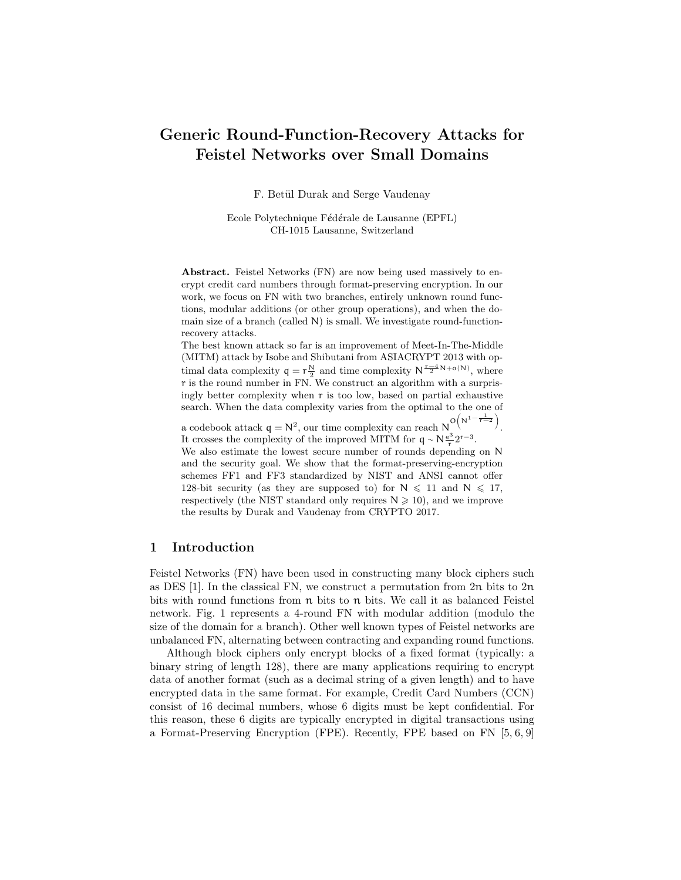# Generic Round-Function-Recovery Attacks for Feistel Networks over Small Domains

F. Betül Durak and Serge Vaudenay

Ecole Polytechnique Fédérale de Lausanne (EPFL) CH-1015 Lausanne, Switzerland

Abstract. Feistel Networks (FN) are now being used massively to encrypt credit card numbers through format-preserving encryption. In our work, we focus on FN with two branches, entirely unknown round functions, modular additions (or other group operations), and when the domain size of a branch (called N) is small. We investigate round-functionrecovery attacks.

The best known attack so far is an improvement of Meet-In-The-Middle (MITM) attack by Isobe and Shibutani from ASIACRYPT 2013 with optimal data complexity  $q = r\frac{N}{2}$  and time complexity  $N^{\frac{r-4}{2}N+o(N)}$ , where r is the round number in FN. We construct an algorithm with a surprisingly better complexity when  $r$  is too low, based on partial exhaustive search. When the data complexity varies from the optimal to the one of

a codebook attack  $q = N^2$ , our time complexity can reach  $N^{O(N^1 - \frac{1}{r-2})}$ . It crosses the complexity of the improved MITM for  $q \sim N \frac{e^3}{r} 2^{r-3}$ . 3

We also estimate the lowest secure number of rounds depending on N and the security goal. We show that the format-preserving-encryption schemes FF1 and FF3 standardized by NIST and ANSI cannot offer 128-bit security (as they are supposed to) for  $N \le 11$  and  $N \le 17$ , respectively (the NIST standard only requires  $N \geq 10$ ), and we improve the results by Durak and Vaudenay from CRYPTO 2017.

### 1 Introduction

Feistel Networks (FN) have been used in constructing many block ciphers such as DES [1]. In the classical FN, we construct a permutation from 2n bits to 2n bits with round functions from  $\pi$  bits to  $\pi$  bits. We call it as balanced Feistel network. Fig. 1 represents a 4-round FN with modular addition (modulo the size of the domain for a branch). Other well known types of Feistel networks are unbalanced FN, alternating between contracting and expanding round functions.

Although block ciphers only encrypt blocks of a fixed format (typically: a binary string of length 128), there are many applications requiring to encrypt data of another format (such as a decimal string of a given length) and to have encrypted data in the same format. For example, Credit Card Numbers (CCN) consist of 16 decimal numbers, whose 6 digits must be kept confidential. For this reason, these 6 digits are typically encrypted in digital transactions using a Format-Preserving Encryption (FPE). Recently, FPE based on FN [5, 6, 9]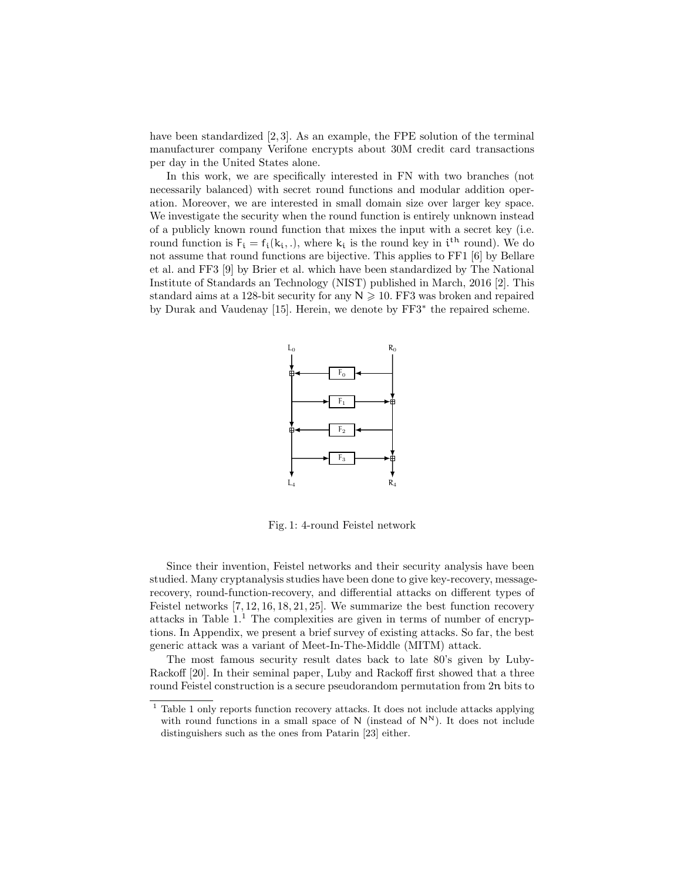have been standardized  $[2,3]$ . As an example, the FPE solution of the terminal manufacturer company Verifone encrypts about 30M credit card transactions per day in the United States alone.

In this work, we are specifically interested in FN with two branches (not necessarily balanced) with secret round functions and modular addition operation. Moreover, we are interested in small domain size over larger key space. We investigate the security when the round function is entirely unknown instead of a publicly known round function that mixes the input with a secret key (i.e. round function is  $F_i = f_i(k_i,.)$ , where  $k_i$  is the round key in  $i^{th}$  round). We do not assume that round functions are bijective. This applies to FF1 [6] by Bellare et al. and FF3 [9] by Brier et al. which have been standardized by The National Institute of Standards an Technology (NIST) published in March, 2016 [2]. This standard aims at a 128-bit security for any  $N \geqslant 10$ . FF3 was broken and repaired by Durak and Vaudenay [15]. Herein, we denote by FF3<sup>∗</sup> the repaired scheme.



Fig. 1: 4-round Feistel network

Since their invention, Feistel networks and their security analysis have been studied. Many cryptanalysis studies have been done to give key-recovery, messagerecovery, round-function-recovery, and differential attacks on different types of Feistel networks [7, 12, 16, 18, 21, 25]. We summarize the best function recovery attacks in Table  $1<sup>1</sup>$ . The complexities are given in terms of number of encryptions. In Appendix, we present a brief survey of existing attacks. So far, the best generic attack was a variant of Meet-In-The-Middle (MITM) attack.

The most famous security result dates back to late 80's given by Luby-Rackoff [20]. In their seminal paper, Luby and Rackoff first showed that a three round Feistel construction is a secure pseudorandom permutation from 2n bits to

<sup>&</sup>lt;sup>1</sup> Table 1 only reports function recovery attacks. It does not include attacks applying with round functions in a small space of  $N$  (instead of  $N^N$ ). It does not include distinguishers such as the ones from Patarin [23] either.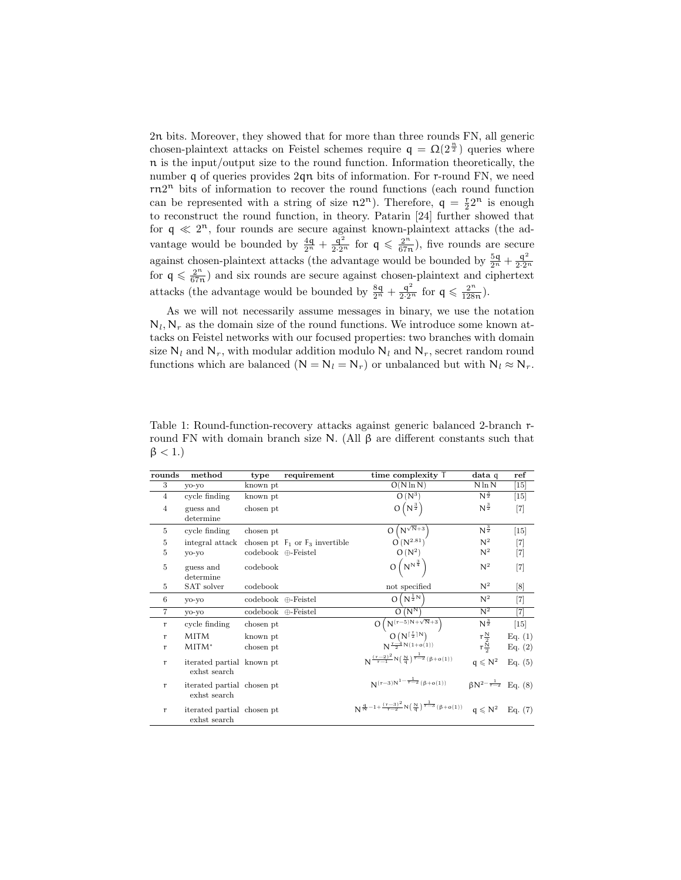2n bits. Moreover, they showed that for more than three rounds FN, all generic chosen-plaintext attacks on Feistel schemes require  $q = \Omega(2^{\frac{n}{2}})$  queries where n is the input/output size to the round function. Information theoretically, the number q of queries provides 2qn bits of information. For r-round FN, we need rn2 <sup>n</sup> bits of information to recover the round functions (each round function can be represented with a string of size  $n2^n$ ). Therefore,  $q = \frac{r}{2}2^n$  is enough to reconstruct the round function, in theory. Patarin [24] further showed that for  $q \ll 2^n$ , four rounds are secure against known-plaintext attacks (the advantage would be bounded by  $\frac{4q}{2^n} + \frac{q^2}{2 \cdot 2^n}$  for  $q \leq \frac{2^n}{67r}$  $\frac{2^n}{67n}$ , five rounds are secure against chosen-plaintext attacks (the advantage would be bounded by  $\frac{5q}{2^n} + \frac{q^2}{2 \cdot 2^n}$ for  $q \leqslant \frac{2^n}{67r}$  $\frac{2^{n}}{67n}$  and six rounds are secure against chosen-plaintext and ciphertext attacks (the advantage would be bounded by  $\frac{8q}{2^n} + \frac{q^2}{2 \cdot 2^n}$  for  $q \leq \frac{2^n}{128}$  $\frac{2^{n}}{128n}$ ).

As we will not necessarily assume messages in binary, we use the notation  $N_l, N_r$  as the domain size of the round functions. We introduce some known attacks on Feistel networks with our focused properties: two branches with domain size  $N_l$  and  $N_r$ , with modular addition modulo  $N_l$  and  $N_r$ , secret random round functions which are balanced ( $N = N_l = N_r$ ) or unbalanced but with  $N_l \approx N_r$ .

| rounds         | method                                     | type                             | requirement                         | time complexity T                                                                                                                             | data q                              | ref     |
|----------------|--------------------------------------------|----------------------------------|-------------------------------------|-----------------------------------------------------------------------------------------------------------------------------------------------|-------------------------------------|---------|
| 3              | yo-yo                                      | known pt                         |                                     | $O(N \ln N)$                                                                                                                                  | $N \ln N$                           | $[15]$  |
| $\overline{4}$ | cycle finding                              | known pt                         |                                     | $O(N^3)$                                                                                                                                      | $N^{\frac{3}{2}}$                   | $[15]$  |
| $\overline{4}$ | guess and<br>determine                     | chosen pt                        |                                     | $O(N^{\frac{3}{2}})$                                                                                                                          | $N^{\frac{3}{2}}$                   | $[7]$   |
| 5              | cycle finding                              | chosen pt                        |                                     | $O(N^{\sqrt{N}+3})$                                                                                                                           | $N^{\frac{3}{2}}$                   | $[15]$  |
| 5              | integral attack                            |                                  | chosen pt $F_1$ or $F_3$ invertible | $Q(N^{2.81})$                                                                                                                                 | $\mathsf{N}^2$                      | $[7]$   |
| 5              | yo-yo                                      | $codebook \oplus \text{Feistel}$ |                                     | $O(N^2)$                                                                                                                                      | $\mathsf{N}^2$                      | $[7]$   |
| $\overline{5}$ | guess and<br>determine                     | codebook                         |                                     | $O(N^{N^{\frac{3}{4}}})$                                                                                                                      | $N^2$                               | $[7]$   |
| 5              | SAT solver                                 | codebook                         |                                     | not specified                                                                                                                                 | $\mathsf{N}^2$                      | [8]     |
| 6              | yo-yo                                      | codebook ⊕-Feistel               |                                     | $O(N^{\frac{1}{2}N})$                                                                                                                         | $N^2$                               | $[7]$   |
| $\overline{7}$ | yo-yo                                      | codebook ⊕-Feistel               |                                     | $O(N^N)$                                                                                                                                      | $N^2$                               | [7]     |
| $\mathbf{r}$   | cycle finding                              | chosen pt                        |                                     | $O\left(N^{\left(r-5\right)N+\sqrt{N}+3}\right)$                                                                                              | $N^{\frac{3}{2}}$                   | $[15]$  |
| $\mathbf{r}$   | MITM                                       | known pt                         |                                     | $O(N^{\lceil \frac{r}{2} \rceil N})$<br>$N^{\frac{r-4}{2}N(1+o(1))}$                                                                          |                                     | Eq. (1) |
| $\mathbf{r}$   | $MITM*$                                    | chosen pt                        |                                     |                                                                                                                                               | $\frac{r\frac{N}{2}}{r\frac{N}{2}}$ | Eq. (2) |
| $\mathbf{r}$   | iterated partial known pt<br>exhst search  |                                  |                                     | $N^{\frac{(r-2)^2}{r-1}}N(\frac{N}{q})^{\frac{1}{r-2}}(\beta+o(1))$                                                                           | $q \leq N^2$                        | Eq. (5) |
| $\mathbf{r}$   | iterated partial chosen pt<br>exhst search |                                  |                                     | $N(r-3)N^{1-\frac{1}{r-2}}(\beta+o(1))$                                                                                                       | $\beta N^{2-\frac{1}{r-2}}$ Eq. (8) |         |
| $\mathbf{r}$   | iterated partial chosen pt<br>exhst search |                                  |                                     | $N^{\frac{q}{N}-1+\frac{(\tau-3)^2}{\tau-2}N\left(\frac{N}{q}\right)^{\frac{1}{\tau-3}}(\beta+o(1))}\quad q\leqslant N^2\quad \text{Eq. (7)}$ |                                     |         |

Table 1: Round-function-recovery attacks against generic balanced 2-branch rround FN with domain branch size N. (All β are different constants such that  $\beta$  < 1.)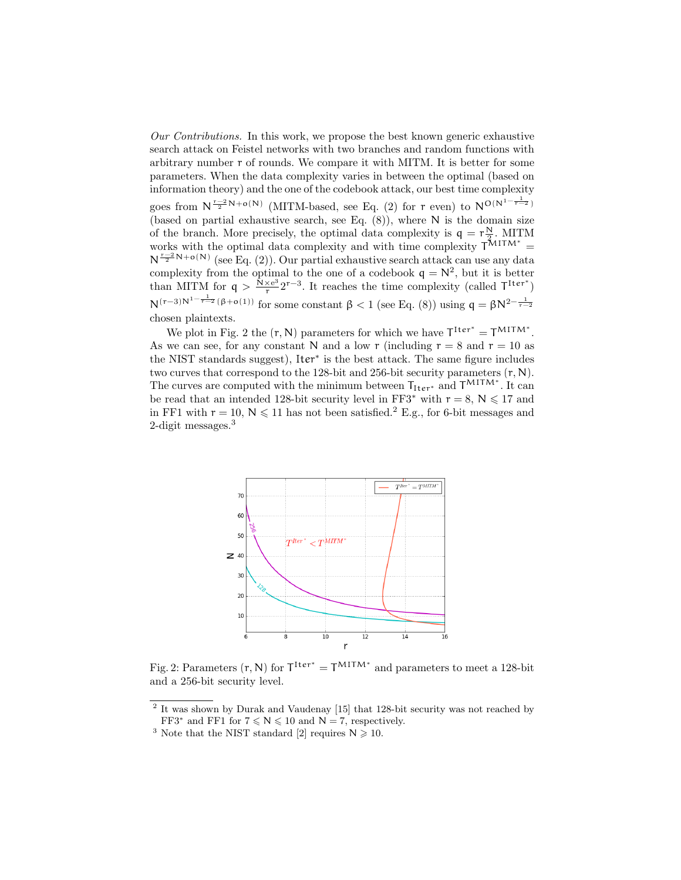Our Contributions. In this work, we propose the best known generic exhaustive search attack on Feistel networks with two branches and random functions with arbitrary number r of rounds. We compare it with MITM. It is better for some parameters. When the data complexity varies in between the optimal (based on information theory) and the one of the codebook attack, our best time complexity goes from  $N^{\frac{r-2}{2}N+o(N)}$  (MITM-based, see Eq. (2) for r even) to  $N^{O(N^{1-\frac{1}{r-2}})}$ (based on partial exhaustive search, see Eq.  $(8)$ ), where N is the domain size of the branch. More precisely, the optimal data complexity is  $q = r \frac{N}{2}$ . MITM works with the optimal data complexity and with time complexity  $T^{MITM*}$  =  $N^{\frac{r-2}{2}N+o(N)}$  (see Eq. (2)). Our partial exhaustive search attack can use any data complexity from the optimal to the one of a codebook  $q = N^2$ , but it is better than MITM for  $q > \frac{\tilde{N} \times e^3}{r}$  $\frac{(\times e^3)}{r}$  2<sup>r-3</sup>. It reaches the time complexity (called  $\mathsf{T}^{\text{Iter}^*}$ )  $N^{(r-3)N^{1-\frac{1}{r-2}}(\beta+o(1))}$  for some constant  $\beta < 1$  (see Eq. (8)) using  $q = \beta N^{2-\frac{1}{r-2}}$ chosen plaintexts.

We plot in Fig. 2 the  $(r, N)$  parameters for which we have  $T^{\text{Iter}^*} = T^{\text{MITM}^*}$ . As we can see, for any constant N and a low r (including  $r = 8$  and  $r = 10$  as the NIST standards suggest), Iter<sup>∗</sup> is the best attack. The same figure includes two curves that correspond to the 128-bit and 256-bit security parameters  $(r, N)$ . The curves are computed with the minimum between  $T_{Iter}$ <sup>\*</sup> and  $T^{MITM}$ <sup>\*</sup>. It can be read that an intended 128-bit security level in FF3<sup>\*</sup> with  $r = 8$ ,  $N \le 17$  and in FF1 with  $r = 10$ ,  $N \le 11$  has not been satisfied.<sup>2</sup> E.g., for 6-bit messages and 2-digit messages.<sup>3</sup>



Fig. 2: Parameters  $(r, N)$  for  $T^{Iter^{*}} = T^{MITM^{*}}$  and parameters to meet a 128-bit and a 256-bit security level.

<sup>2</sup> It was shown by Durak and Vaudenay [15] that 128-bit security was not reached by FF3<sup>\*</sup> and FF1 for  $7 \le N \le 10$  and  $N = 7$ , respectively.

<sup>&</sup>lt;sup>3</sup> Note that the NIST standard [2] requires  $N \ge 10$ .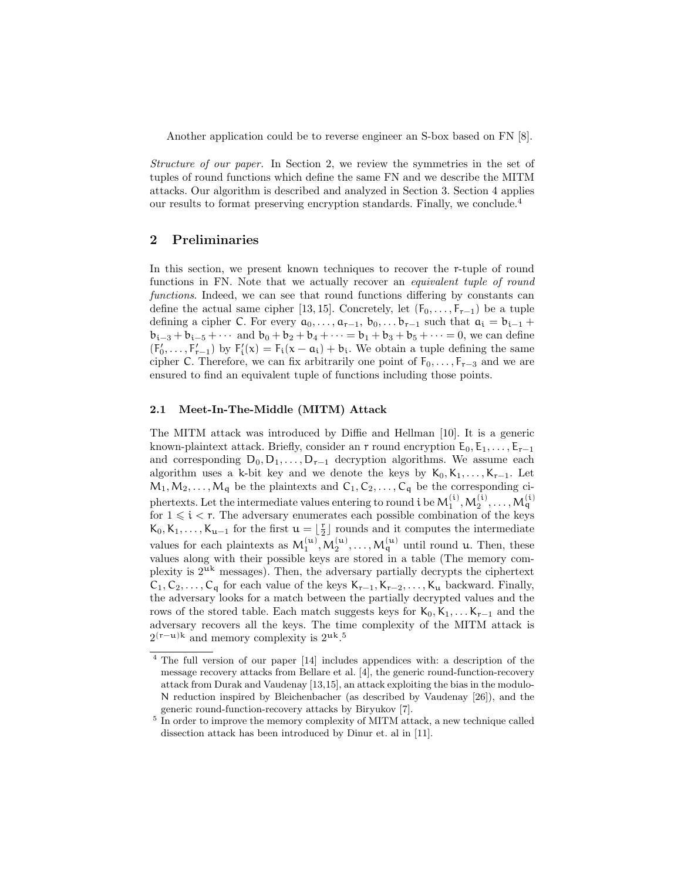Another application could be to reverse engineer an S-box based on FN [8].

Structure of our paper. In Section 2, we review the symmetries in the set of tuples of round functions which define the same FN and we describe the MITM attacks. Our algorithm is described and analyzed in Section 3. Section 4 applies our results to format preserving encryption standards. Finally, we conclude.<sup>4</sup>

### 2 Preliminaries

In this section, we present known techniques to recover the r-tuple of round functions in FN. Note that we actually recover an equivalent tuple of round functions. Indeed, we can see that round functions differing by constants can define the actual same cipher [13, 15]. Concretely, let  $(F_0, \ldots, F_{r-1})$  be a tuple defining a cipher C. For every  $a_0, \ldots, a_{r-1}, b_0, \ldots b_{r-1}$  such that  $a_i = b_{i-1}$  +  $b_{i-3} + b_{i-5} + \cdots$  and  $b_0 + b_2 + b_4 + \cdots = b_1 + b_3 + b_5 + \cdots = 0$ , we can define  $(F'_0, \ldots, F'_{r-1})$  by  $F'_i(x) = F_i(x - \alpha_i) + b_i$ . We obtain a tuple defining the same cipher C. Therefore, we can fix arbitrarily one point of  $F_0, \ldots, F_{r-3}$  and we are ensured to find an equivalent tuple of functions including those points.

### 2.1 Meet-In-The-Middle (MITM) Attack

The MITM attack was introduced by Diffie and Hellman [10]. It is a generic known-plaintext attack. Briefly, consider an  $r$  round encryption  $E_0, E_1, \ldots, E_{r-1}$ and corresponding  $D_0, D_1, \ldots, D_{r-1}$  decryption algorithms. We assume each algorithm uses a k-bit key and we denote the keys by  $K_0, K_1, \ldots, K_{r-1}$ . Let  $M_1, M_2, \ldots, M_q$  be the plaintexts and  $C_1, C_2, \ldots, C_q$  be the corresponding ciphertexts. Let the intermediate values entering to round  $i$  be  $\mathsf{M}_1^{(\mathfrak{i})}, \mathsf{M}_2^{(\mathfrak{i})}, \ldots, \mathsf{M}_q^{(\mathfrak{i})}$ for  $1 \leq i \leq r$ . The adversary enumerates each possible combination of the keys  $K_0, K_1, \ldots, K_{u-1}$  for the first  $u = \lfloor \frac{r}{2} \rfloor$  rounds and it computes the intermediate values for each plaintexts as  $M_1^{(u)}, M_2^{(u)}, \ldots, M_q^{(u)}$  until round u. Then, these values along with their possible keys are stored in a table (The memory complexity is  $2<sup>uk</sup>$  messages). Then, the adversary partially decrypts the ciphertext  $C_1, C_2, \ldots, C_q$  for each value of the keys  $K_{r-1}, K_{r-2}, \ldots, K_u$  backward. Finally, the adversary looks for a match between the partially decrypted values and the rows of the stored table. Each match suggests keys for  $K_0, K_1, \ldots K_{r-1}$  and the adversary recovers all the keys. The time complexity of the MITM attack is  $2^{(r-u)k}$  and memory complexity is  $2^{uk}$ .<sup>5</sup>

<sup>4</sup> The full version of our paper [14] includes appendices with: a description of the message recovery attacks from Bellare et al. [4], the generic round-function-recovery attack from Durak and Vaudenay [13,15], an attack exploiting the bias in the modulo-N reduction inspired by Bleichenbacher (as described by Vaudenay [26]), and the generic round-function-recovery attacks by Biryukov [7].

<sup>&</sup>lt;sup>5</sup> In order to improve the memory complexity of MITM attack, a new technique called dissection attack has been introduced by Dinur et. al in [11].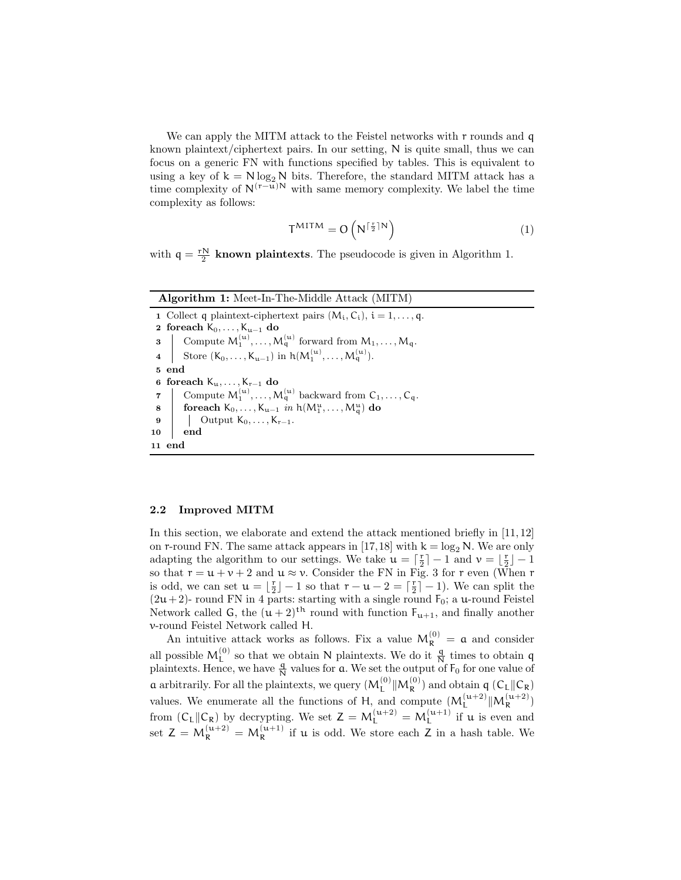We can apply the MITM attack to the Feistel networks with r rounds and q known plaintext/ciphertext pairs. In our setting, N is quite small, thus we can focus on a generic FN with functions specified by tables. This is equivalent to using a key of  $k = N \log_2 N$  bits. Therefore, the standard MITM attack has a time complexity of  $N^{(r-u)N}$  with same memory complexity. We label the time complexity as follows:

$$
T^{MITM} = O\left(N^{\lceil \frac{r}{2} \rceil N}\right) \tag{1}
$$

with  $q = \frac{rN}{2}$  known plaintexts. The pseudocode is given in Algorithm 1.

| <b>Algorithm 1:</b> Meet-In-The-Middle Attack (MITM)                                                                                                                                                                                                                                                                                                                       |
|----------------------------------------------------------------------------------------------------------------------------------------------------------------------------------------------------------------------------------------------------------------------------------------------------------------------------------------------------------------------------|
| 1 Collect q plaintext-ciphertext pairs $(M_i, C_i)$ , $i = 1, , q$ .                                                                                                                                                                                                                                                                                                       |
| 2 foreach $K_0, \ldots, K_{u-1}$ do                                                                                                                                                                                                                                                                                                                                        |
|                                                                                                                                                                                                                                                                                                                                                                            |
| $\begin{array}{c}\mathbf{3} \quad \  \left\vert \quad \text{Compute} \ M_1^{(\mathbf{u})}, \dots, M_q^{(\mathbf{u})} \ \text{forward from} \ M_1, \dots, M_q. \right. \\ \mathbf{4} \quad \  \left\vert \quad \text{Store } (\mathsf{K}_0, \dots, \mathsf{K}_{\mathbf{u}-1}) \ \text{in} \ \mathsf{h}(M_1^{(\mathbf{u})}, \dots, M_q^{(\mathbf{u})}). \right. \end{array}$ |
| 5 end                                                                                                                                                                                                                                                                                                                                                                      |
| 6 foreach $K_u, \ldots, K_{r-1}$ do                                                                                                                                                                                                                                                                                                                                        |
| 7 Compute $M_1^{(u)}, \ldots, M_q^{(u)}$ backward from $C_1, \ldots, C_q$ .<br>8 foreach $K_0, \ldots, K_{u-1}$ in $h(M_1^u, \ldots, M_q^u)$ do<br>9 Uutput $K_0, \ldots, K_{r-1}$ .                                                                                                                                                                                       |
|                                                                                                                                                                                                                                                                                                                                                                            |
|                                                                                                                                                                                                                                                                                                                                                                            |
| end<br>10                                                                                                                                                                                                                                                                                                                                                                  |
| 11 end                                                                                                                                                                                                                                                                                                                                                                     |

### 2.2 Improved MITM

In this section, we elaborate and extend the attack mentioned briefly in [11, 12] on r-round FN. The same attack appears in [17,18] with  $k = log_2 N$ . We are only adapting the algorithm to our settings. We take  $\mathfrak{u} = \lceil \frac{r}{2} \rceil - 1$  and  $v = \lfloor \frac{r}{2} \rfloor - 1$ so that  $r = u + v + 2$  and  $u \approx v$ . Consider the FN in Fig. 3 for r even (When r is odd, we can set  $\mathfrak{u} = \lfloor \frac{r}{2} \rfloor - 1$  so that  $r - \mathfrak{u} - 2 = \lceil \frac{r}{2} \rceil - 1$ ). We can split the  $(2u+2)$ - round FN in 4 parts: starting with a single round F<sub>0</sub>; a u-round Feistel Network called G, the  $(u+2)^{th}$  round with function  $F_{u+1}$ , and finally another v-round Feistel Network called H.

An intuitive attack works as follows. Fix a value  $M_R^{(0)} = \mathfrak{a}$  and consider all possible  $M_L^{(0)}$  so that we obtain N plaintexts. We do it  $\frac{q}{N}$  times to obtain q plaintexts. Hence, we have  $\frac{q}{N}$  values for **a**. We set the output of  $F_0$  for one value of **a** arbitrarily. For all the plaintexts, we query  $(M_L^{(0)} \| M_R^{(0)})$  and obtain **q**  $(C_L \| C_R)$ values. We enumerate all the functions of H, and compute  $(M_L^{(u+2)} \| M_R^{(u+2)})$ from  $(C_L||C_R)$  by decrypting. We set  $Z = M_L^{(\mu+2)} = M_L^{(\mu+1)}$  if  $\mu$  is even and set  $Z = M_R^{(\mu+2)} = M_R^{(\mu+1)}$  if  $\mu$  is odd. We store each Z in a hash table. We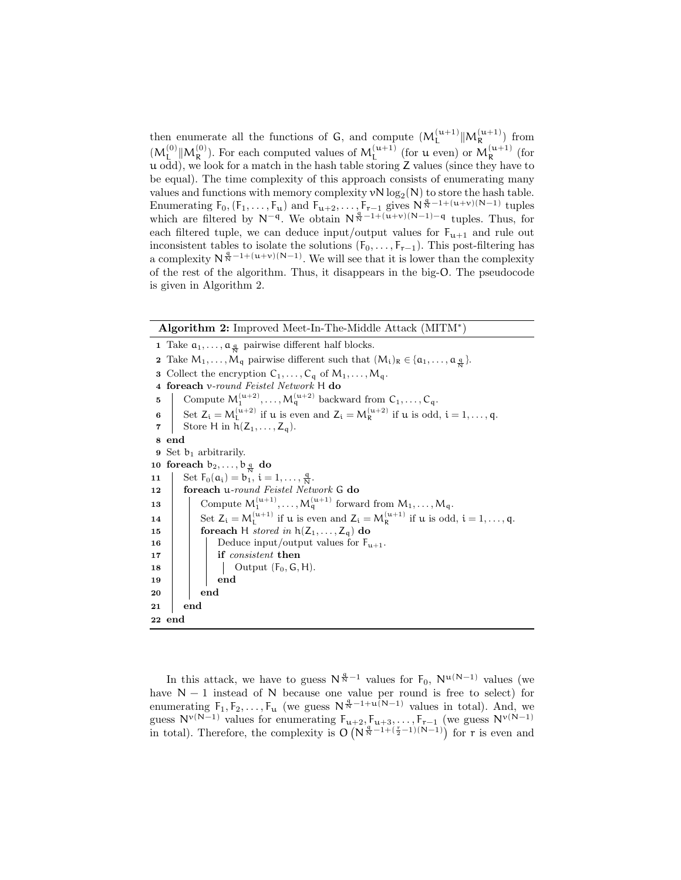then enumerate all the functions of  $G$ , and compute  $(M_L^{(u+1)} \| M_R^{(u+1)})$  from  $(M_L^{(0)} \| M_R^{(0)})$ . For each computed values of  $M_L^{(u+1)}$  (for  $u$  even) or  $M_R^{(u+1)}$  (for u odd), we look for a match in the hash table storing Z values (since they have to be equal). The time complexity of this approach consists of enumerating many values and functions with memory complexity  $vN \log_2(N)$  to store the hash table. Enumerating  $F_0$ ,  $(F_1, \ldots, F_u)$  and  $F_{u+2}, \ldots, F_{r-1}$  gives  $N^{\frac{q}{N}-1+(u+v)(N-1)}$  tuples which are filtered by  $N^{-q}$ . We obtain  $N^{\frac{q}{N}-1+(u+v)(N-1)-q}$  tuples. Thus, for each filtered tuple, we can deduce input/output values for  $F_{u+1}$  and rule out inconsistent tables to isolate the solutions  $(F_0, \ldots, F_{r-1})$ . This post-filtering has a complexity  $N^{\frac{q}{N}-1+(u+v)(N-1)}$ . We will see that it is lower than the complexity of the rest of the algorithm. Thus, it disappears in the big-O. The pseudocode is given in Algorithm 2.

|          | <b>Algorithm 2:</b> Improved Meet-In-The-Middle Attack (MITM <sup>*</sup> )                                                                               |  |  |  |  |  |  |  |
|----------|-----------------------------------------------------------------------------------------------------------------------------------------------------------|--|--|--|--|--|--|--|
|          | 1 Take $a_1, \ldots, a_{\frac{a}{N}}$ pairwise different half blocks.                                                                                     |  |  |  |  |  |  |  |
|          | <b>2</b> Take $M_1, \ldots, M_q$ pairwise different such that $(M_i)_R \in \{a_1, \ldots, a_{\frac{q}{2}}\}.$                                             |  |  |  |  |  |  |  |
| 3        | Collect the encryption $C_1, \ldots, C_q$ of $M_1, \ldots, M_q$ .                                                                                         |  |  |  |  |  |  |  |
|          | 4 foreach v-round Feistel Network H do                                                                                                                    |  |  |  |  |  |  |  |
| 5        | Compute $M_1^{(u+2)}, \ldots, M_q^{(u+2)}$ backward from $C_1, \ldots, C_q$ .                                                                             |  |  |  |  |  |  |  |
| $\bf{6}$ | Set $Z_i = M_1^{(u+2)}$ if u is even and $Z_i = M_R^{(u+2)}$ if u is odd, $i = 1, \ldots, q$ .                                                            |  |  |  |  |  |  |  |
|          | Store H in $h(Z_1,\ldots,Z_q)$ .                                                                                                                          |  |  |  |  |  |  |  |
|          | 8 end                                                                                                                                                     |  |  |  |  |  |  |  |
|          | <b>9</b> Set $b_1$ arbitrarily.                                                                                                                           |  |  |  |  |  |  |  |
|          | 10 foreach $b_2, \ldots, b_{\frac{q}{M}}$ do                                                                                                              |  |  |  |  |  |  |  |
| 11       | Set $F_0(a_i) = b_1, i = 1, , \frac{q}{N}$ .                                                                                                              |  |  |  |  |  |  |  |
| 12       | foreach u-round Feistel Network G do                                                                                                                      |  |  |  |  |  |  |  |
| 13       | Compute $M_1^{(u+1)}, \ldots, M_q^{(u+1)}$ forward from $M_1, \ldots, M_q$ .                                                                              |  |  |  |  |  |  |  |
| 14       | Set $Z_i = M_i^{(\mathfrak{u}+1)}$ if $\mathfrak{u}$ is even and $Z_i = M_{\mathbb{R}}^{(\mathfrak{u}+1)}$ if $\mathfrak{u}$ is odd, $i = 1, \ldots, q$ . |  |  |  |  |  |  |  |
| 15       | foreach H stored in $h(Z_1, \ldots, Z_q)$ do                                                                                                              |  |  |  |  |  |  |  |
| 16       | Deduce input/output values for $F_{u+1}$ .                                                                                                                |  |  |  |  |  |  |  |
| 17       | if <i>consistent</i> then                                                                                                                                 |  |  |  |  |  |  |  |
| 18       | Output $(F_0, G, H)$ .                                                                                                                                    |  |  |  |  |  |  |  |
| 19       | end                                                                                                                                                       |  |  |  |  |  |  |  |
| 20       | end                                                                                                                                                       |  |  |  |  |  |  |  |
| 21       | end                                                                                                                                                       |  |  |  |  |  |  |  |
|          | 22 end                                                                                                                                                    |  |  |  |  |  |  |  |

In this attack, we have to guess  $N^{\frac{q}{N}-1}$  values for  $F_0$ ,  $N^{u(N-1)}$  values (we have  $N-1$  instead of N because one value per round is free to select) for enumerating  $F_1, F_2, \ldots, F_u$  (we guess  $N^{\frac{q}{N}-1+u(N-1)}$  values in total). And, we guess  $N^{\nu(N-1)}$  values for enumerating  $F_{u+2}, F_{u+3}, \ldots, F_{r-1}$  (we guess  $N^{\nu(N-1)}$ ) in total). Therefore, the complexity is  $O(N^{\frac{q}{N}-1+(\frac{r}{2}-1)(N-1)})$  for r is even and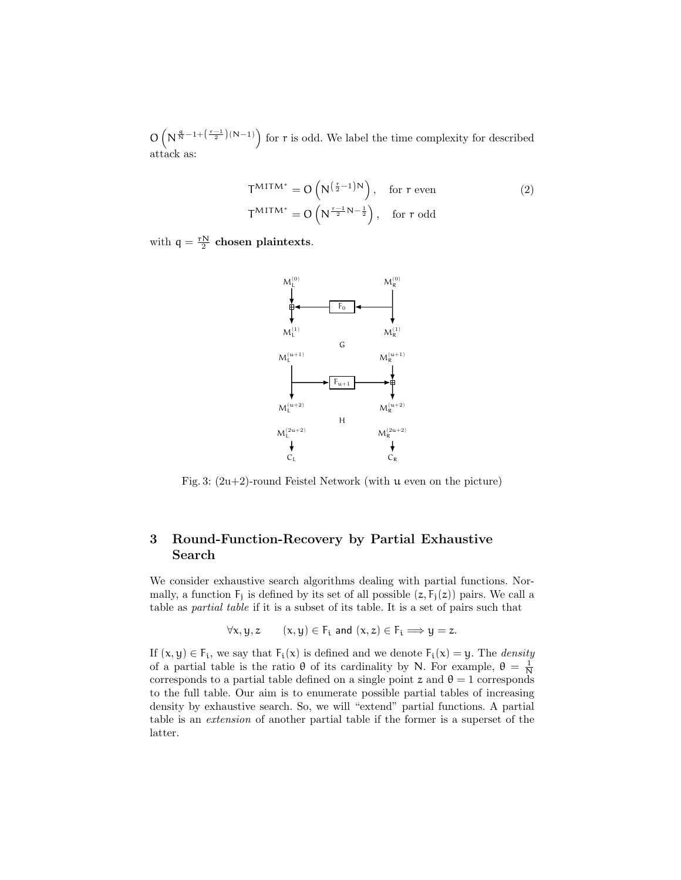$\mathcal{O}\left(N^{\frac{q}{N}-1+\left(\frac{r-1}{2}\right)(N-1)}\right)$  for r is odd. We label the time complexity for described attack as:

$$
T^{MITM^{*}} = O\left(N^{\left(\frac{r}{2}-1\right)N}\right), \quad \text{for } r \text{ even} \tag{2}
$$
\n
$$
T^{MITM^{*}} = O\left(N^{\frac{r-1}{2}N-\frac{1}{2}}\right), \quad \text{for } r \text{ odd}
$$

with  $q = \frac{rN}{2}$  chosen plaintexts.



Fig. 3:  $(2u+2)$ -round Feistel Network (with  $u$  even on the picture)

# 3 Round-Function-Recovery by Partial Exhaustive Search

We consider exhaustive search algorithms dealing with partial functions. Normally, a function  $F_i$  is defined by its set of all possible  $(z, F_i(z))$  pairs. We call a table as partial table if it is a subset of its table. It is a set of pairs such that

$$
\forall x, y, z \qquad (x, y) \in F_i \text{ and } (x, z) \in F_i \Longrightarrow y = z.
$$

If  $(x, y) \in F_i$ , we say that  $F_i(x)$  is defined and we denote  $F_i(x) = y$ . The *density* of a partial table is the ratio  $\theta$  of its cardinality by N. For example,  $\theta = \frac{1}{N}$ corresponds to a partial table defined on a single point z and  $\theta = 1$  corresponds to the full table. Our aim is to enumerate possible partial tables of increasing density by exhaustive search. So, we will "extend" partial functions. A partial table is an extension of another partial table if the former is a superset of the latter.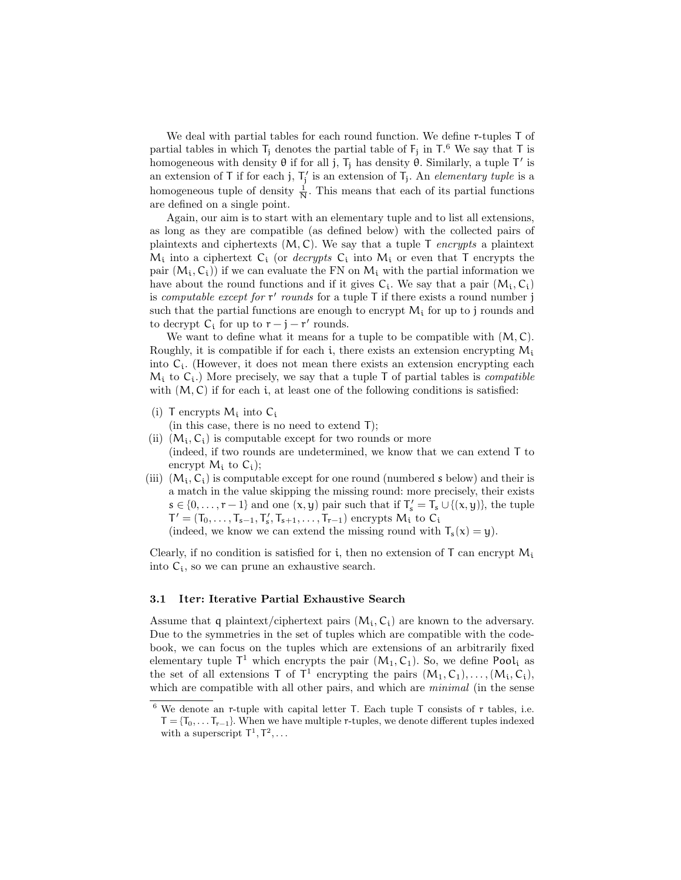We deal with partial tables for each round function. We define r-tuples T of partial tables in which  $T_j$  denotes the partial table of  $F_j$  in  $T^6$ . We say that T is homogeneous with density  $\theta$  if for all j,  $T_j$  has density  $\hat{\theta}$ . Similarly, a tuple T' is an extension of T if for each j,  $T_i'$  is an extension of  $T_j$ . An *elementary tuple* is a homogeneous tuple of density  $\frac{1}{N}$ . This means that each of its partial functions are defined on a single point.

Again, our aim is to start with an elementary tuple and to list all extensions, as long as they are compatible (as defined below) with the collected pairs of plaintexts and ciphertexts  $(M, C)$ . We say that a tuple  $T$  encrypts a plaintext  $M_i$  into a ciphertext  $C_i$  (or *decrypts*  $C_i$  into  $M_i$  or even that T encrypts the pair  $(M_i, C_i)$  if we can evaluate the FN on  $M_i$  with the partial information we have about the round functions and if it gives  $C_i$ . We say that a pair  $(M_i, C_i)$ is *computable except for*  $r'$  *rounds* for a tuple  $T$  if there exists a round number j such that the partial functions are enough to encrypt  $M_i$  for up to j rounds and to decrypt  $C_i$  for up to  $r - j - r'$  rounds.

We want to define what it means for a tuple to be compatible with  $(M, C)$ . Roughly, it is compatible if for each i, there exists an extension encrypting  $M_i$ into  $C_i$ . (However, it does not mean there exists an extension encrypting each  $M_i$  to  $C_i$ .) More precisely, we say that a tuple T of partial tables is *compatible* with  $(M, C)$  if for each i, at least one of the following conditions is satisfied:

(i) T encrypts  $M_i$  into  $C_i$ 

(in this case, there is no need to extend T);

- (ii)  $(M_i, C_i)$  is computable except for two rounds or more (indeed, if two rounds are undetermined, we know that we can extend T to encrypt  $M_i$  to  $C_i$ );
- (iii)  $(M_i, C_i)$  is computable except for one round (numbered s below) and their is a match in the value skipping the missing round: more precisely, their exists  $s \in \{0, \ldots, r-1\}$  and one  $(x, y)$  pair such that if  $T_s' = T_s \cup \{(x, y)\}\)$ , the tuple  $T' = (T_0, \ldots, T_{s-1}, T'_s, T_{s+1}, \ldots, T_{r-1})$  encrypts  $M_i$  to  $C_i$ (indeed, we know we can extend the missing round with  $T_s(x) = y$ ).

Clearly, if no condition is satisfied for i, then no extension of  $T$  can encrypt  $M_i$ into  $C_i$ , so we can prune an exhaustive search.

### 3.1 Iter: Iterative Partial Exhaustive Search

Assume that q plaintext/ciphertext pairs  $(M_i, C_i)$  are known to the adversary. Due to the symmetries in the set of tuples which are compatible with the codebook, we can focus on the tuples which are extensions of an arbitrarily fixed elementary tuple  $\mathsf{T}^1$  which encrypts the pair  $(M_1, C_1)$ . So, we define Pool<sub>i</sub> as the set of all extensions  $T$  of  $T^1$  encrypting the pairs  $(M_1, C_1), \ldots, (M_i, C_i)$ , which are compatible with all other pairs, and which are *minimal* (in the sense

 $6$  We denote an r-tuple with capital letter T. Each tuple T consists of r tables, i.e.  $T = \{T_0, \ldots, T_{r-1}\}.$  When we have multiple r-tuples, we denote different tuples indexed with a superscript  $T^1, T^2, \ldots$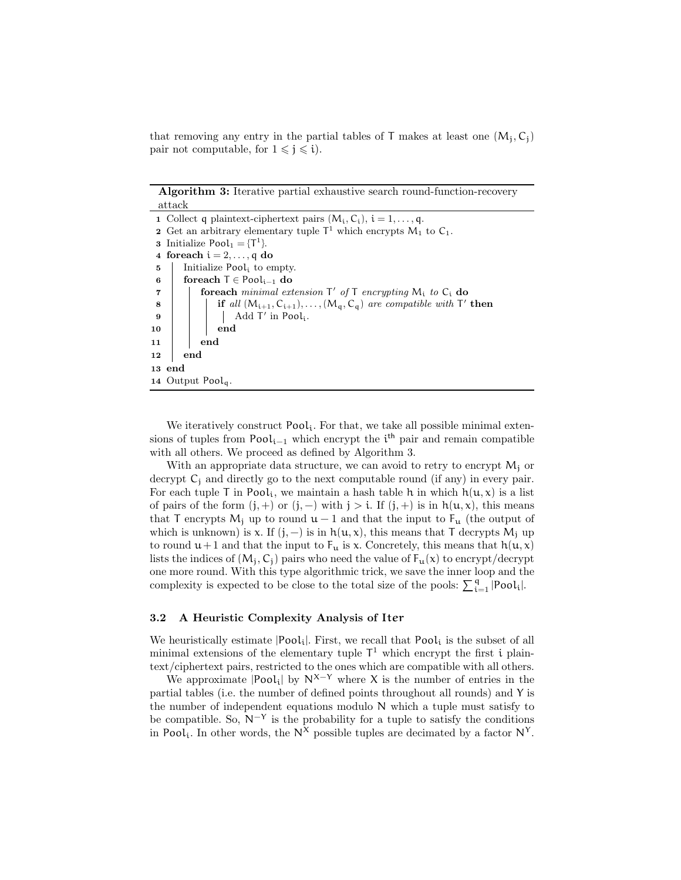that removing any entry in the partial tables of T makes at least one  $(M_i, C_i)$ pair not computable, for  $1 \leq j \leq i$ .

Algorithm 3: Iterative partial exhaustive search round-function-recovery attack

| 1 Collect q plaintext-ciphertext pairs $(M_i, C_i)$ , $i = 1, , q$ .                                          |  |  |  |  |  |  |  |
|---------------------------------------------------------------------------------------------------------------|--|--|--|--|--|--|--|
| 2 Get an arbitrary elementary tuple $T^1$ which encrypts $M_1$ to $C_1$ .                                     |  |  |  |  |  |  |  |
| <b>3</b> Initialize Pool <sub>1</sub> = $\{T^1\}$ .                                                           |  |  |  |  |  |  |  |
| 4 foreach $i = 2, \ldots, q$ do                                                                               |  |  |  |  |  |  |  |
| Initialize Pool <sub>i</sub> to empty.                                                                        |  |  |  |  |  |  |  |
| foreach $T \in \text{Pool}_{i-1}$ do                                                                          |  |  |  |  |  |  |  |
| <b>foreach</b> minimal extension $\mathsf{T}'$ of $\mathsf{T}$ encrypting $\mathsf{M}_i$ to $\mathsf{C}_i$ do |  |  |  |  |  |  |  |
| <b>if</b> all $(M_{i+1}, C_{i+1}), \ldots, (M_q, C_q)$ are compatible with $T'$ then                          |  |  |  |  |  |  |  |
|                                                                                                               |  |  |  |  |  |  |  |
| $\boldsymbol{\mathrm{end}}$                                                                                   |  |  |  |  |  |  |  |
| end                                                                                                           |  |  |  |  |  |  |  |
| end                                                                                                           |  |  |  |  |  |  |  |
| $13 \text{ end}$                                                                                              |  |  |  |  |  |  |  |
| 14 Output Pool <sub>a</sub> .                                                                                 |  |  |  |  |  |  |  |
|                                                                                                               |  |  |  |  |  |  |  |

We iteratively construct Pool<sub>i</sub>. For that, we take all possible minimal extensions of tuples from  $Pool_{i-1}$  which encrypt the i<sup>th</sup> pair and remain compatible with all others. We proceed as defined by Algorithm 3.

With an appropriate data structure, we can avoid to retry to encrypt  $M_i$  or decrypt  $C_i$  and directly go to the next computable round (if any) in every pair. For each tuple T in Pool<sub>i</sub>, we maintain a hash table h in which  $h(u, x)$  is a list of pairs of the form  $(j, +)$  or  $(j, -)$  with  $j > i$ . If  $(j, +)$  is in  $h(u, x)$ , this means that T encrypts  $M_j$  up to round  $u-1$  and that the input to  $F_u$  (the output of which is unknown) is x. If  $(j, -)$  is in  $h(u, x)$ , this means that T decrypts  $M_i$  up to round  $u+1$  and that the input to  $F_u$  is x. Concretely, this means that  $h(u, x)$ lists the indices of  $(M_i, C_i)$  pairs who need the value of  $F_u(x)$  to encrypt/decrypt one more round. With this type algorithmic trick, we save the inner loop and the complexity is expected to be close to the total size of the pools:  $\sum_{i=1}^{q} |Pool_i|$ .

#### 3.2 A Heuristic Complexity Analysis of Iter

We heuristically estimate  $|Pool_i|$ . First, we recall that  $Pool_i$  is the subset of all minimal extensions of the elementary tuple  $\mathsf{T}^1$  which encrypt the first i plaintext/ciphertext pairs, restricted to the ones which are compatible with all others.

We approximate  $|Pool_i|$  by  $N^{X-Y}$  where X is the number of entries in the partial tables (i.e. the number of defined points throughout all rounds) and Y is the number of independent equations modulo N which a tuple must satisfy to be compatible. So,  $N^{-Y}$  is the probability for a tuple to satisfy the conditions in Pool<sub>i</sub>. In other words, the  $N^{\chi}$  possible tuples are decimated by a factor  $N^{\gamma}$ .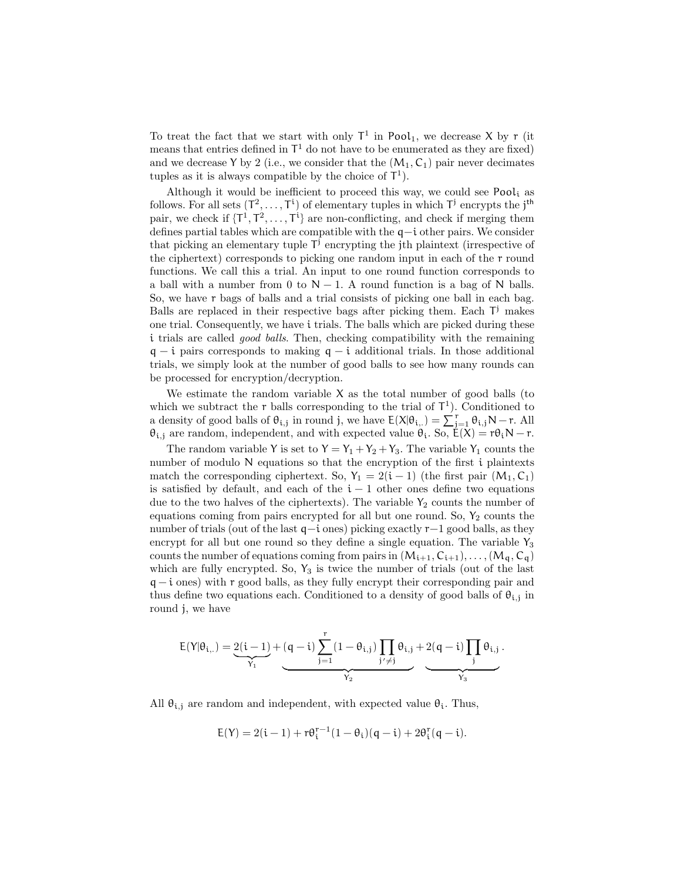To treat the fact that we start with only  $T^1$  in Pool<sub>1</sub>, we decrease X by r (it means that entries defined in  $\mathsf{T}^1$  do not have to be enumerated as they are fixed) and we decrease Y by 2 (i.e., we consider that the  $(M_1, C_1)$  pair never decimates tuples as it is always compatible by the choice of  $\mathsf{T}^1$ ).

Although it would be inefficient to proceed this way, we could see Pool<sub>i</sub> as follows. For all sets  $(T^2, \ldots, T^i)$  of elementary tuples in which  $T^j$  encrypts the j<sup>th</sup> pair, we check if  $\{T^1, T^2, \ldots, T^i\}$  are non-conflicting, and check if merging them defines partial tables which are compatible with the q−i other pairs. We consider that picking an elementary tuple  $\mathsf{T}^{\mathsf{j}}$  encrypting the jth plaintext (irrespective of the ciphertext) corresponds to picking one random input in each of the r round functions. We call this a trial. An input to one round function corresponds to a ball with a number from 0 to  $N - 1$ . A round function is a bag of N balls. So, we have r bags of balls and a trial consists of picking one ball in each bag. Balls are replaced in their respective bags after picking them. Each  $T^j$  makes one trial. Consequently, we have i trials. The balls which are picked during these i trials are called *good balls*. Then, checking compatibility with the remaining  $q - i$  pairs corresponds to making  $q - i$  additional trials. In those additional trials, we simply look at the number of good balls to see how many rounds can be processed for encryption/decryption.

We estimate the random variable  $X$  as the total number of good balls (to which we subtract the r balls corresponding to the trial of  $\mathsf{T}^1$ ). Conditioned to a density of good balls of  $\theta_{i,j}$  in round j, we have  $E(X|\theta_{i,j}) = \sum_{j=1}^{r} \theta_{i,j} N - r$ . All  $\theta_{i,j}$  are random, independent, and with expected value  $\theta_i$ . So,  $\mathcal{E}(X) = r\theta_i N - r$ .

The random variable Y is set to  $Y = Y_1 + Y_2 + Y_3$ . The variable Y<sub>1</sub> counts the number of modulo N equations so that the encryption of the first i plaintexts match the corresponding ciphertext. So,  $Y_1 = 2(i - 1)$  (the first pair  $(M_1, C_1)$ ) is satisfied by default, and each of the  $i - 1$  other ones define two equations due to the two halves of the ciphertexts). The variable  $Y_2$  counts the number of equations coming from pairs encrypted for all but one round. So,  $Y_2$  counts the number of trials (out of the last q−i ones) picking exactly r−1 good balls, as they encrypt for all but one round so they define a single equation. The variable  $Y_3$ counts the number of equations coming from pairs in  $(M_{i+1}, C_{i+1}), \ldots, (M_q, C_q)$ which are fully encrypted. So,  $Y_3$  is twice the number of trials (out of the last  $q - i$  ones) with r good balls, as they fully encrypt their corresponding pair and thus define two equations each. Conditioned to a density of good balls of  $\theta_{i,j}$  in round j, we have

$$
E(Y|\theta_{i,.}) = \underbrace{2(i-1)}_{Y_1} + \underbrace{(q-i)\sum_{j=1}^r (1-\theta_{i,j})\prod_{j'\neq j}\theta_{i,j}}_{Y_2} + \underbrace{2(q-i)\prod_j\theta_{i,j}}_{Y_3} \,.
$$

All  $\theta_{i,j}$  are random and independent, with expected value  $\theta_i$ . Thus,

$$
\mathsf{E}(Y)=2(\mathfrak{i}-1)+r\theta_{\mathfrak{i}}^{r-1}(1-\theta_{\mathfrak{i}})(\mathfrak{q}-\mathfrak{i})+2\theta_{\mathfrak{i}}^r(\mathfrak{q}-\mathfrak{i}).
$$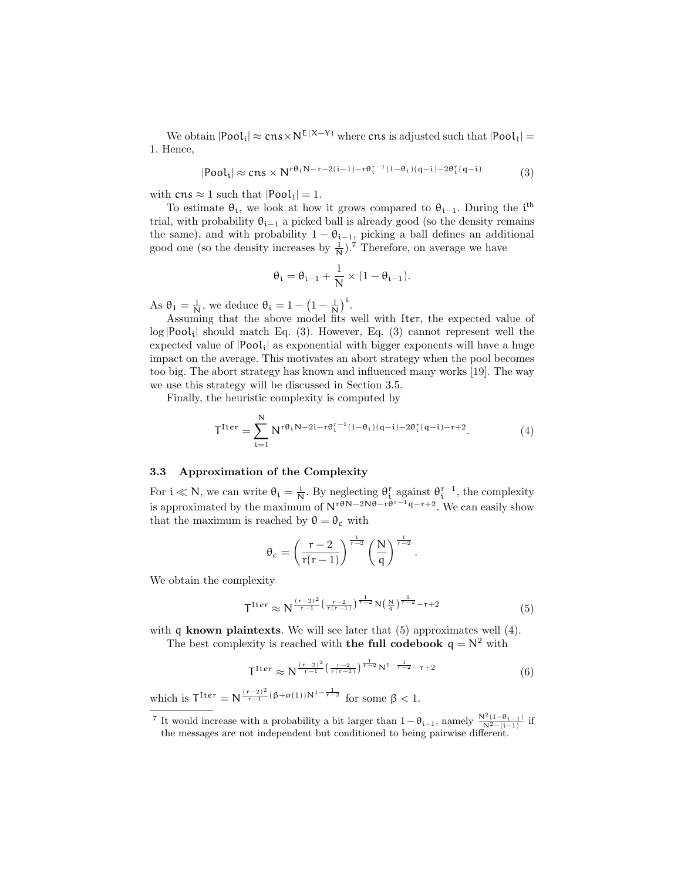We obtain  $|Pool_i| \approx cns \times N^{E(X-Y)}$  where cns is adjusted such that  $|Pool_1|$  = 1. Hence,

$$
|\text{Pool}_i| \approx \text{cns} \times N^{r\theta_i N - r - 2(i-1) - r\theta_i^{-1}(1-\theta_i)(q-i) - 2\theta_i^{r}(q-i)} \tag{3}
$$

with  $\text{cns} \approx 1$  such that  $|\text{Pool}_1| = 1$ .

To estimate  $\theta_i$ , we look at how it grows compared to  $\theta_{i-1}$ . During the i<sup>th</sup> trial, with probability  $\theta_{i-1}$  a picked ball is already good (so the density remains the same), and with probability  $1 - \theta_{i-1}$ , picking a ball defines an additional good one (so the density increases by  $\frac{1}{N}$ ).<sup>7</sup> Therefore, on average we have

$$
\theta_i = \theta_{i-1} + \frac{1}{N} \times (1 - \theta_{i-1}).
$$

As  $\theta_1 = \frac{1}{N}$ , we deduce  $\theta_i = 1 - \left(1 - \frac{1}{N}\right)^i$ .

Assuming that the above model fits well with Iter, the expected value of  $log |Pool_i|$  should match Eq. (3). However, Eq. (3) cannot represent well the expected value of  $|Pool_i|$  as exponential with bigger exponents will have a huge impact on the average. This motivates an abort strategy when the pool becomes too big. The abort strategy has known and influenced many works [19]. The way we use this strategy will be discussed in Section 3.5.

Finally, the heuristic complexity is computed by

$$
T^{Iter} = \sum_{i=1}^{N} N^{r\theta_i N - 2i - r\theta_i^{r-1} (1 - \theta_i)(q-i) - 2\theta_i^r (q-i) - r + 2}.
$$
 (4)

### 3.3 Approximation of the Complexity

For  $i \ll N$ , we can write  $\theta_i = \frac{i}{N}$ . By neglecting  $\theta_i^r$  against  $\theta_i^{r-1}$ , the complexity is approximated by the maximum of  $N^{r \theta N-2N\theta - r\theta^{r-1} q - r+2}$ . We can easily show that the maximum is reached by  $\theta = \theta_c$  with

$$
\theta_c = \left(\frac{r-2}{r(r-1)}\right)^{\frac{1}{r-2}} \left(\frac{N}{q}\right)^{\frac{1}{r-2}}
$$

We obtain the complexity

$$
\mathsf{T}^{\text{Iter}} \approx \mathsf{N}^{\frac{(\mathsf{r}-2)^2}{\mathsf{r}-1} \left( \frac{\mathsf{r}-2}{\mathsf{r}(\mathsf{r}-1)} \right)^{\frac{1}{\mathsf{r}-2}} \mathsf{N} \left( \frac{\mathsf{N}}{\mathsf{q}} \right)^{\frac{1}{\mathsf{r}-2}} - \mathsf{r} + 2} \tag{5}
$$

.

with  $q$  known plaintexts. We will see later that  $(5)$  approximates well  $(4)$ . The best complexity is reached with **the full codebook**  $q = N^2$  with

$$
T^{Iter} \approx N^{\frac{(r-2)^2}{r-1} \left(\frac{r-2}{r(r-1)}\right)^{\frac{1}{r-2}} N^{1-\frac{1}{r-2}} - r+2}
$$
(6)

which is  $T^{\text{Iter}} = N^{\frac{(r-2)^2}{r-1}(\beta + o(1))N^{1-\frac{1}{r-2}}}$  for some  $\beta < 1$ .

<sup>&</sup>lt;sup>7</sup> It would increase with a probability a bit larger than  $1 - \theta_{i-1}$ , namely  $\frac{N^2(1-\theta_{i-1})}{N^2-(i-1)}$  if the messages are not independent but conditioned to being pairwise different.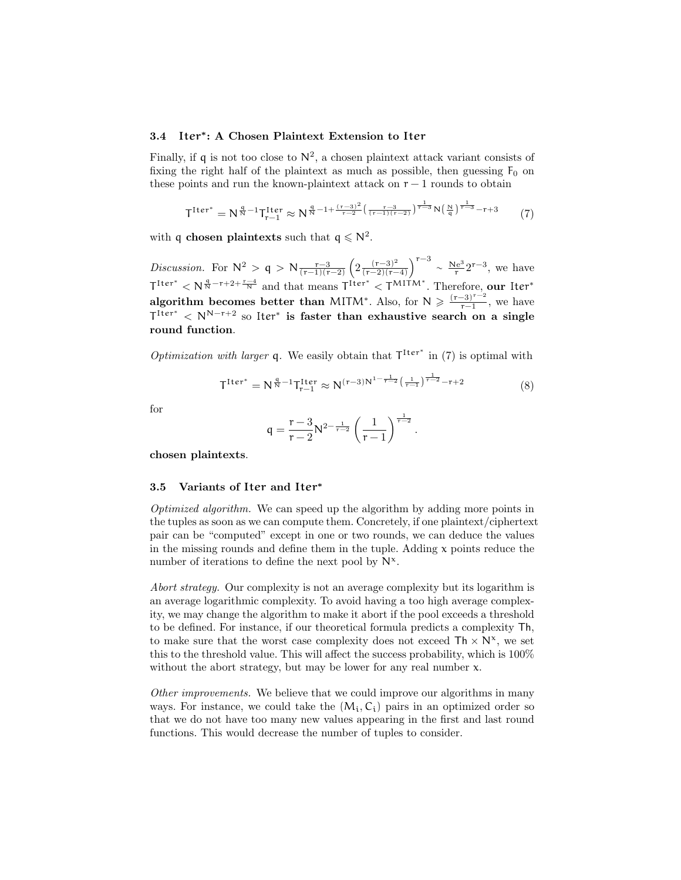### 3.4 Iter<sup>∗</sup> : A Chosen Plaintext Extension to Iter

Finally, if q is not too close to  $\mathbb{N}^2$ , a chosen plaintext attack variant consists of fixing the right half of the plaintext as much as possible, then guessing  $F_0$  on these points and run the known-plaintext attack on  $r - 1$  rounds to obtain

$$
T^{Iter^{*}} = N^{\frac{q}{N} - 1} T_{r-1}^{Iter} \approx N^{\frac{q}{N} - 1 + \frac{(r-3)^{2}}{r-2} \left(\frac{r-3}{(r-1)(r-2)}\right)^{\frac{1}{r-3}} N^{\left(\frac{N}{q}\right)^{\frac{1}{r-3}} - r + 3}
$$
(7)

with q chosen plaintexts such that  $q \n\leq N^2$ .

Discussion. For  $N^2 > q > N \frac{r-3}{(r-1)(r-2)} \left( 2 \frac{(r-3)^2}{(r-2)(r-1)} \right)$  $\frac{(r-3)^2}{(r-2)(r-4)}$  $\Big)^{r-3} \sim \frac{Ne^3}{r}$  $\frac{\text{Le}^3}{\text{r}}2^{\text{r}-3}$ , we have  $\mathsf{T}^{\text{Iter}^*} < \mathsf{N}^{\frac{\mathfrak{q}}{\mathsf{N}} - \mathsf{r} + 2 + \frac{\mathsf{r}-4}{\mathsf{N}}}$  and that means  $\mathsf{T}^{\text{Iter}^*} < \mathsf{T}^{\text{MITM}^*}$ . Therefore, our Iter<sup>\*</sup> algorithm becomes better than MITM<sup>\*</sup>. Also, for  $N \geq \frac{(r-3)^{r-2}}{r-1}$  $\frac{-3}{r-1}$ , we have  $T^{\text{Iter}^*} < N^{N-r+2}$  so Iter<sup>\*</sup> is faster than exhaustive search on a single round function.

*Optimization with larger* q. We easily obtain that  $T^{Iter^{*}}$  in (7) is optimal with

$$
T^{Iter^{*}} = N^{\frac{q}{N} - 1} T_{r-1}^{Iter} \approx N^{(r-3)N^{1-\frac{1}{r-2}}\left(\frac{1}{r-1}\right)^{\frac{1}{r-2}} - r + 2}
$$
(8)

for

$$
q = \frac{r-3}{r-2} N^{2-\frac{1}{r-2}} \left( \frac{1}{r-1} \right)^{\frac{1}{r-2}}.
$$

chosen plaintexts.

#### 3.5 Variants of Iter and Iter<sup>∗</sup>

Optimized algorithm. We can speed up the algorithm by adding more points in the tuples as soon as we can compute them. Concretely, if one plaintext/ciphertext pair can be "computed" except in one or two rounds, we can deduce the values in the missing rounds and define them in the tuple. Adding  $x$  points reduce the number of iterations to define the next pool by  $N^{\chi}$ .

Abort strategy. Our complexity is not an average complexity but its logarithm is an average logarithmic complexity. To avoid having a too high average complexity, we may change the algorithm to make it abort if the pool exceeds a threshold to be defined. For instance, if our theoretical formula predicts a complexity Th, to make sure that the worst case complexity does not exceed  $\mathsf{Th} \times \mathsf{N}^{\mathsf{x}}$ , we set this to the threshold value. This will affect the success probability, which is 100% without the abort strategy, but may be lower for any real number  $x$ .

Other improvements. We believe that we could improve our algorithms in many ways. For instance, we could take the  $(M_i, C_i)$  pairs in an optimized order so that we do not have too many new values appearing in the first and last round functions. This would decrease the number of tuples to consider.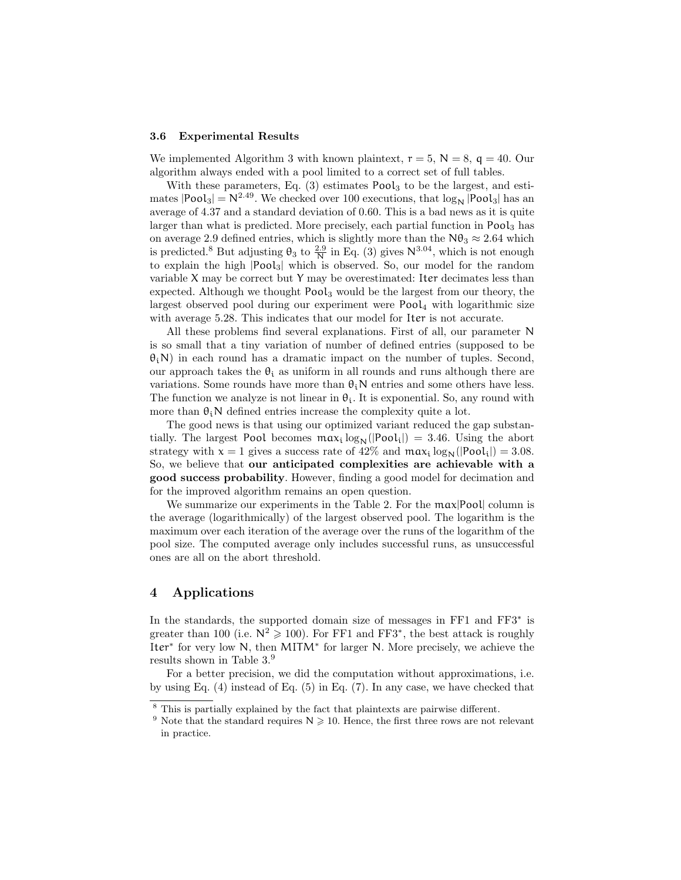#### 3.6 Experimental Results

We implemented Algorithm 3 with known plaintext,  $r = 5$ ,  $N = 8$ ,  $q = 40$ . Our algorithm always ended with a pool limited to a correct set of full tables.

With these parameters, Eq.  $(3)$  estimates Pool<sub>3</sub> to be the largest, and estimates  $|Pool_3| = N^{2.49}$ . We checked over 100 executions, that  $log_N [Pool_3]$  has an average of 4.37 and a standard deviation of 0.60. This is a bad news as it is quite larger than what is predicted. More precisely, each partial function in Pool<sub>3</sub> has on average 2.9 defined entries, which is slightly more than the  $N\theta_3 \approx 2.64$  which is predicted.<sup>8</sup> But adjusting  $\theta_3$  to  $\frac{2.9}{N}$  in Eq. (3) gives  $N^{3.04}$ , which is not enough to explain the high |Pool3| which is observed. So, our model for the random variable X may be correct but Y may be overestimated: Iter decimates less than expected. Although we thought Pool<sub>3</sub> would be the largest from our theory, the largest observed pool during our experiment were  $Pool<sub>4</sub>$  with logarithmic size with average 5.28. This indicates that our model for Iter is not accurate.

All these problems find several explanations. First of all, our parameter N is so small that a tiny variation of number of defined entries (supposed to be  $\theta_i$ N) in each round has a dramatic impact on the number of tuples. Second, our approach takes the  $\theta_i$  as uniform in all rounds and runs although there are variations. Some rounds have more than  $\theta_i$ N entries and some others have less. The function we analyze is not linear in  $\theta_i$ . It is exponential. So, any round with more than  $\theta_i$ N defined entries increase the complexity quite a lot.

The good news is that using our optimized variant reduced the gap substantially. The largest Pool becomes  $\max_i \log_N(|Pool_i|) = 3.46$ . Using the abort strategy with  $x = 1$  gives a success rate of  $42\%$  and  $\max_i \log_N(|Pool_i|) = 3.08$ . So, we believe that our anticipated complexities are achievable with a good success probability. However, finding a good model for decimation and for the improved algorithm remains an open question.

We summarize our experiments in the Table 2. For the  $max|Pool|$  column is the average (logarithmically) of the largest observed pool. The logarithm is the maximum over each iteration of the average over the runs of the logarithm of the pool size. The computed average only includes successful runs, as unsuccessful ones are all on the abort threshold.

### 4 Applications

In the standards, the supported domain size of messages in FF1 and FF3<sup>\*</sup> is greater than 100 (i.e.  $N^2 \geq 100$ ). For FF1 and FF3<sup>\*</sup>, the best attack is roughly Iter<sup>∗</sup> for very low N, then MITM<sup>∗</sup> for larger N. More precisely, we achieve the results shown in Table 3.<sup>9</sup>

For a better precision, we did the computation without approximations, i.e. by using Eq. (4) instead of Eq. (5) in Eq. (7). In any case, we have checked that

<sup>8</sup> This is partially explained by the fact that plaintexts are pairwise different.

<sup>&</sup>lt;sup>9</sup> Note that the standard requires  $N \ge 10$ . Hence, the first three rows are not relevant in practice.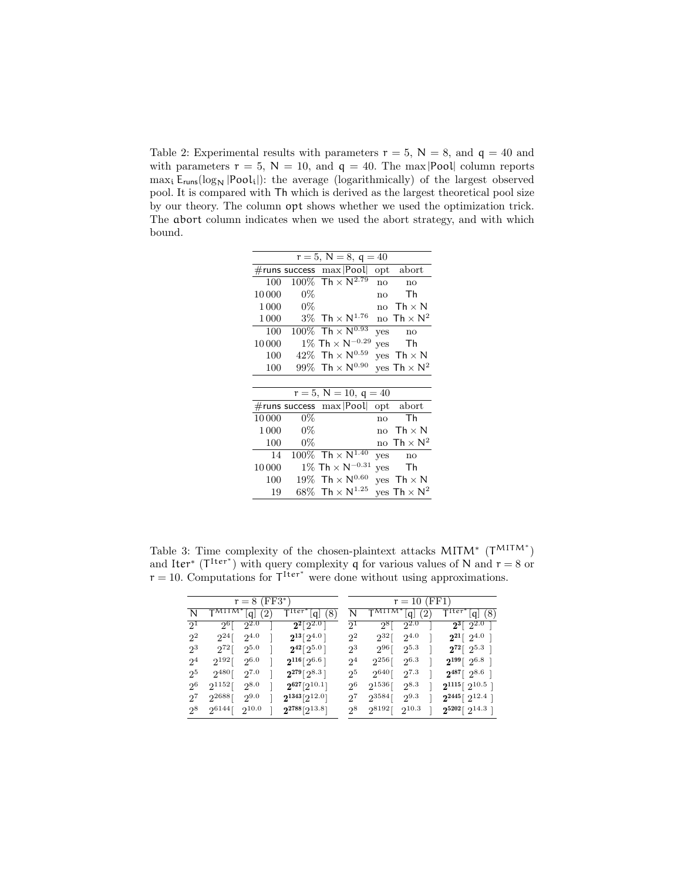Table 2: Experimental results with parameters  $r = 5$ ,  $N = 8$ , and  $q = 40$  and with parameters  $r = 5$ ,  $N = 10$ , and  $q = 40$ . The max |Pool| column reports  $max_i$   $E_{runs}$   $\log_N$   $|Pool_i|$ : the average (logarithmically) of the largest observed pool. It is compared with Th which is derived as the largest theoretical pool size by our theory. The column opt shows whether we used the optimization trick. The abort column indicates when we used the abort strategy, and with which bound.

| $r = 5, N = 8, q = 40$ |        |                                        |     |                               |  |  |  |  |  |
|------------------------|--------|----------------------------------------|-----|-------------------------------|--|--|--|--|--|
|                        |        | #runs success $\max$  Pool             |     | opt abort                     |  |  |  |  |  |
| 100                    |        | $100\%$ Th $\times$ N <sup>2.79</sup>  | no  | no                            |  |  |  |  |  |
| 10000                  | $0\%$  |                                        | no  | Тh                            |  |  |  |  |  |
| 1 0 0 0                | $0\%$  |                                        | no  | Th $\times$ N                 |  |  |  |  |  |
| 1000                   |        | $3\%$ $\,$ Th $\times$ $N^{1.76}$      |     | no Th $\times$ N <sup>2</sup> |  |  |  |  |  |
| 100                    |        | $100\%$ Th $\times$ N <sup>0.93</sup>  | yes | no                            |  |  |  |  |  |
| 10000                  |        | $1\%$ Th $\times$ N <sup>-0.29</sup>   | ves | Th                            |  |  |  |  |  |
| 100                    | 42%    | $Th \times N^{0.59}$                   |     | yes $Th \times N$             |  |  |  |  |  |
| 100                    |        | 99% Th $\times$ N <sup>0.90</sup>      |     | $ves Th \times N^2$           |  |  |  |  |  |
|                        |        |                                        |     |                               |  |  |  |  |  |
|                        |        | $r = 5, N = 10, q = 40$                |     |                               |  |  |  |  |  |
|                        |        | $\#$ runs success max Pool opt abort   |     |                               |  |  |  |  |  |
| 10000                  | $0\%$  |                                        | no  | Τh                            |  |  |  |  |  |
| 1 0 0 0                | $0\%$  |                                        | no  | $Th \times N$                 |  |  |  |  |  |
| 100                    | $0\%$  |                                        |     | no Th $\times$ N <sup>2</sup> |  |  |  |  |  |
| 14                     |        | $100\%$ Th $\times$ N <sup>1.40</sup>  | yes | no                            |  |  |  |  |  |
| 10000                  |        | $1\%$ Th $\times$ $\rm N^{-0.31}$      | ves | Th                            |  |  |  |  |  |
| 100                    | $19\%$ | $Th \times N^{0.60}$                   |     | $ves$ Th $\times$ N           |  |  |  |  |  |
| 19                     | $68\%$ | $\mathsf{Th} \times \mathsf{N}^{1.25}$ |     | $ves Th \times N^2$           |  |  |  |  |  |

Table 3: Time complexity of the chosen-plaintext attacks  $MITM^*$  ( $T^{MITM^*}$ ) and Iter<sup>\*</sup> ( $T^{Iter^*}$ ) with query complexity q for various values of N and  $r = 8$  or  $r = 10$ . Computations for  $T^{\text{Iter}^*}$  were done without using approximations.

| $r = 8$ (FF3*) |              |                     |                          |                                |                | $r = 10$ (FF1) |                     |                 |                                                         |  |  |
|----------------|--------------|---------------------|--------------------------|--------------------------------|----------------|----------------|---------------------|-----------------|---------------------------------------------------------|--|--|
|                |              |                     |                          |                                |                |                |                     |                 |                                                         |  |  |
| N              | $T^{MITM*}$  | q                   | $^{^{\prime}2^{\prime}}$ | T <sup>Iter</sup><br>(8)<br> q | N              |                | q                   | $^{^{\prime}2}$ | $\overline{\mathsf{T}^{\text{Iter}}}^*[\mathsf{q}]$ (8) |  |  |
| $2^{1}$        |              | $2^{6}$ [ $2^{2.0}$ |                          | $2^{2}[2^{2.0}]$               | $2^{1}$        |                | $2^{8}$ [ $2^{2.0}$ |                 | $2^3\lceil \overline{2^{2.0}\rceil}$                    |  |  |
| $2^2$          | $2^{24}$ [   | $2^{4.0}$           |                          | $2^{13} [2^{4.0}]$             | $2^2$          | $2^{32}$ [     | $2^{4.0}$           |                 | $2^{21}$ [ $2^{4.0}$ ]                                  |  |  |
| $2^3$          | $2^{72}$ [   | $2^{5.0}$           |                          | $2^{42} [2^{5.0}]$             | $2^3$          | $2^{96}$ [     | $2^{5.3}$           |                 | $2^{72}$ [ $2^{5.3}$ ]                                  |  |  |
| 2 <sup>4</sup> | $2^{192}$ [  | $2^{6.0}$           |                          | $2^{116}$ [2 <sup>6.6</sup> ]  | 2 <sup>4</sup> | $2^{256}$ [    | $2^{6.3}$           |                 | $2^{199}$ [ $2^{6.8}$ ]                                 |  |  |
| 25             | $2^{480}$ [  | $2^{7.0}$           |                          | $2^{279}$ [ $2^{8.3}$ ]        | $2^5$          | $2^{640}$ [    | $2^{7.3}$           |                 | $2^{487}$ [ $2^{8.6}$ ]                                 |  |  |
| $2^6$          | $2^{1152}$ [ | $2^{8.0}$           |                          | $2^{627} [2^{10.1}]$           | $2^6$          | $2^{1536}$ [   | $2^{8.3}$           |                 | $2^{1115}$ [ $2^{10.5}$ ]                               |  |  |
| $2^7$          | $2^{2688}$ [ | $2^{9.0}$           |                          | $2^{1343}[2^{12.0}]$           | $2^7$          | $2^{3584}$ [   | $2^{9.3}$           |                 | $2^{2445}$ [ $2^{12.4}$ ]                               |  |  |
| $2^8$          | $2^{6144}$ [ | $2^{10.0}$          |                          | $2^{2788} [2^{13.8}]$          | $2^8$          | $2^{8192}$ [   | $2^{10.3}$          |                 | $2^{5202}$ [ $2^{14.3}$ ]                               |  |  |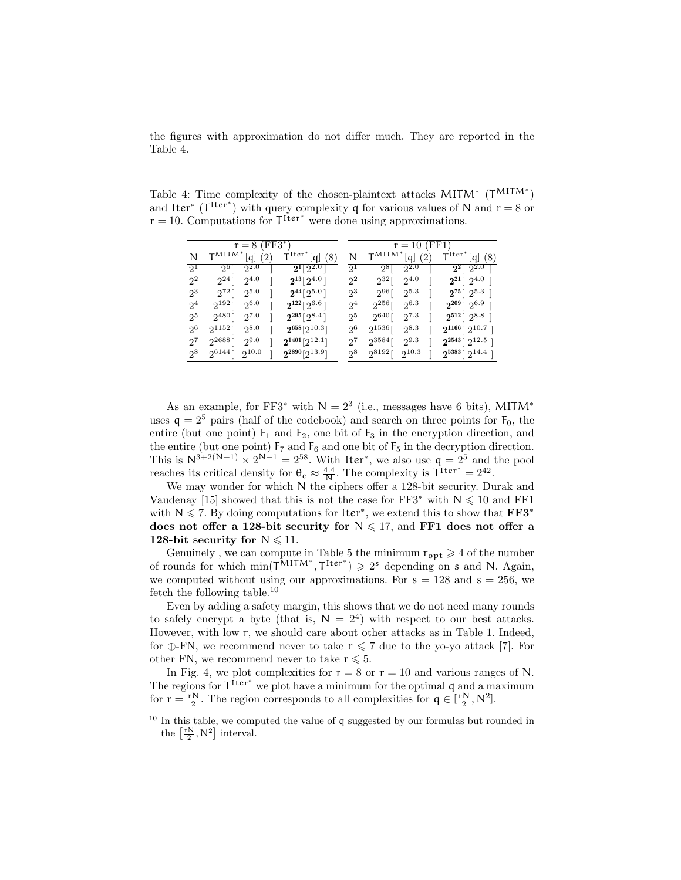the figures with approximation do not differ much. They are reported in the Table 4.

Table 4: Time complexity of the chosen-plaintext attacks  $MITM^*$  ( $T^{MITM^*}$ ) and Iter<sup>\*</sup> ( $T^{Iter^*}$ ) with query complexity q for various values of N and  $r = 8$  or  $r = 10$ . Computations for  $T<sup>Iter</sup>$  were done using approximations.

| $r = 8$ (FF3*) |              |                     |          |                                  |                | $r = 10$ (FF1)   |                     |     |                               |  |
|----------------|--------------|---------------------|----------|----------------------------------|----------------|------------------|---------------------|-----|-------------------------------|--|
| N              | $T^{MITM*}$  | $\lfloor q \rfloor$ | $^{(2)}$ | $T1ter*$<br>[q] (8)              | N              |                  | $\lfloor q \rfloor$ | (2) | $T^{1 \text{ter}}$<br>[q] (8) |  |
| 2 <sup>1</sup> |              | $2^{6}$ [ $2^{2.0}$ |          | $2^{1}[2^{2.0}]$                 | $2^{1}$        |                  | $2^{8}$ [ $2^{2.0}$ |     | $2^2$ [ $2^{2.0}$             |  |
| $2^2$          | $2^{24}$ [   | $2^{4.0}$           |          | $2^{13}$ $\lceil 2^{4.0} \rceil$ | $2^2$          | $2^{32}$ [       | $2^{4.0}$           |     | $2^{21}$ [ $2^{4.0}$ ]        |  |
| $2^3$          | $2^{72}$ [   | $2^{5.0}$           |          | $2^{44} [2^{5.0}]$               |                | $2^3$ $2^{96}$ [ | $2^{5.3}$           |     | $2^{75}$ [ $2^{5.3}$ ]        |  |
| 2 <sup>4</sup> | $2^{192}$ [  | $2^{6.0}$           |          | $2^{122}$ [2 <sup>6.6</sup> ]    | 2 <sup>4</sup> | $2^{256}$ [      | $2^{6.3}$           |     | $2^{209}$ [ $2^{6.9}$ ]       |  |
| 25             | $2^{480}$ [  | 27.0                |          | $2^{295}$ [ $2^{8.4}$ ]          | 2 <sup>5</sup> | $2^{640}$ [      | $2^{7.3}$           |     | $2^{512}$ [ $2^{8.8}$ ]       |  |
| $2^6$          | $2^{1152}$ [ | $2^{8.0}$           |          | $2^{658}[2^{10.3}]$              | $2^6$          | $2^{1536}$ [     | $2^{8.3}$           |     | $2^{1166}$ [ $2^{10.7}$ ]     |  |
| 27             | $2^{2688}$ [ | $2^{9.0}$           |          | $2^{1401}[2^{12.1}]$             | $2^7$          | $2^{3584}$ [     | $2^{9.3}$           |     | $2^{2543}$ [ $2^{12.5}$ ]     |  |
| $2^8$          | $2^{6144}$ [ | $2^{10.0}$          |          | $2^{2890} [2^{13.9}]$            | $2^8$          | $2^{8192}$ [     | $2^{10.3}$          |     | $2^{5383}$ [ $2^{14.4}$ ]     |  |

As an example, for FF3<sup>\*</sup> with  $N = 2<sup>3</sup>$  (i.e., messages have 6 bits), MITM<sup>\*</sup> uses  $q = 2^5$  pairs (half of the codebook) and search on three points for  $F_0$ , the entire (but one point)  $F_1$  and  $F_2$ , one bit of  $F_3$  in the encryption direction, and the entire (but one point)  $F_7$  and  $F_6$  and one bit of  $F_5$  in the decryption direction. This is  $N^{3+2(N-1)} \times 2^{N-1} = 2^{58}$ . With Iter<sup>\*</sup>, we also use  $q = 2^5$  and the pool reaches its critical density for  $\theta_c \approx \frac{4.4}{N}$ . The complexity is  $T^{\text{Iter}^*} = 2^{42}$ .

We may wonder for which N the ciphers offer a 128-bit security. Durak and Vaudenay [15] showed that this is not the case for FF3<sup>\*</sup> with  $N \le 10$  and FF1 with  $N \leq 7$ . By doing computations for Iter<sup>\*</sup>, we extend this to show that  $\mathbf{FF3}^*$ does not offer a 128-bit security for  $N \le 17$ , and FF1 does not offer a 128-bit security for  $N \le 11$ .

Genuinely, we can compute in Table 5 the minimum  $r_{\text{opt}} \geq 4$  of the number of rounds for which  $\min(\mathsf{T}^{\mathsf{MITM}^*}, \mathsf{T}^{\mathsf{Iter}^*}) \geq 2^s$  depending on s and N. Again, we computed without using our approximations. For  $s = 128$  and  $s = 256$ , we fetch the following table.<sup>10</sup>

Even by adding a safety margin, this shows that we do not need many rounds to safely encrypt a byte (that is,  $N = 2<sup>4</sup>$ ) with respect to our best attacks. However, with low r, we should care about other attacks as in Table 1. Indeed, for ⊕-FN, we recommend never to take  $r \leq 7$  due to the yo-yo attack [7]. For other FN, we recommend never to take  $r \leq 5$ .

In Fig. 4, we plot complexities for  $r = 8$  or  $r = 10$  and various ranges of N. The regions for  $T^{\text{Iter}^*}$  we plot have a minimum for the optimal q and a maximum for  $r = \frac{rN}{2}$ . The region corresponds to all complexities for  $q \in [\frac{rN}{2}, N^2]$ .

 $\frac{10}{10}$  In this table, we computed the value of q suggested by our formulas but rounded in the  $\left[\frac{\text{rN}}{2}, \text{N}^2\right]$  interval.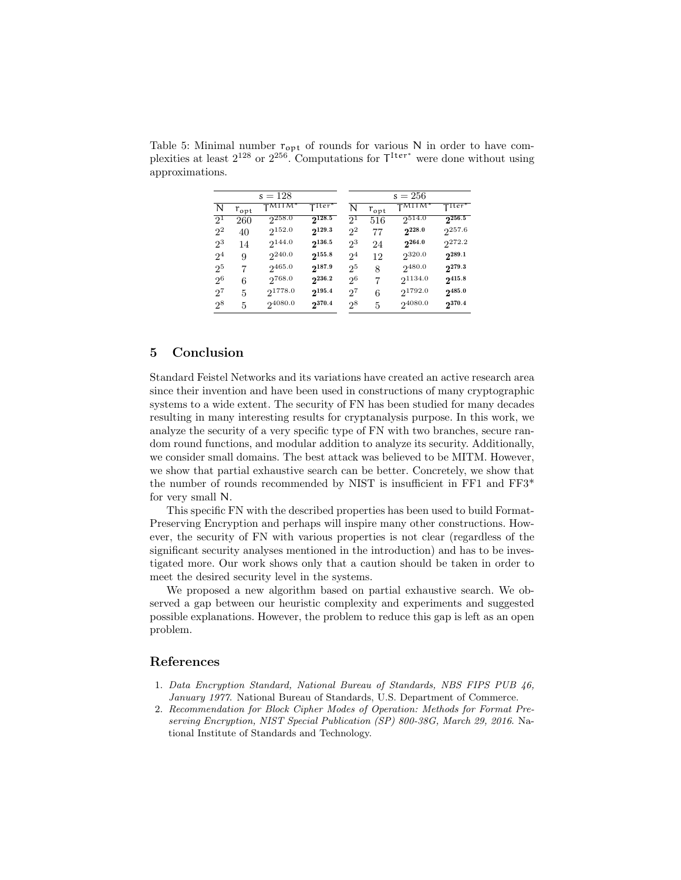|                |               | $s = 128$                      |                                             | $s = 256$      |               |                                        |             |  |  |
|----------------|---------------|--------------------------------|---------------------------------------------|----------------|---------------|----------------------------------------|-------------|--|--|
| N              | $r_{\rm opt}$ | $\mathsf{T}^{\mathsf{MITM}^*}$ | $\mathsf{T}^{\text{Iter}^{\boldsymbol{*}}}$ | N              | $r_{\rm opt}$ | $T^{\text{MIT} \overline{\text{M}}^*}$ | TIter*      |  |  |
| 2 <sup>1</sup> | 260           | $2^{258.0}$                    | $2^{128.5}$                                 | 2 <sup>1</sup> | 516           | $2^{514.0}$                            | $2^{256.5}$ |  |  |
| $2^2$          | 40            | $2^{152.0}$                    | $2^{129.3}$                                 | $2^2$          | 77            | $2^{228.0}$                            | $2^{257.6}$ |  |  |
| $2^3$          | 14            | 2144.0                         | $2^{136.5}$                                 | 23             | 24            | $2^{264.0}$                            | 2272.2      |  |  |
| 2 <sup>4</sup> | 9             | $2^{240.0}$                    | $2^{155.8}$                                 | 2 <sup>4</sup> | 12            | 2320.0                                 | $2^{289.1}$ |  |  |
| 2 <sup>5</sup> | 7             | $2^{465.0}$                    | $2^{187.9}$                                 | 2 <sup>5</sup> | 8             | 2480.0                                 | $2^{279.3}$ |  |  |
| $2^6$          | 6             | $2^{768.0}$                    | $2^{236.2}$                                 | $2^6$          | 7             | 21134.0                                | $2^{415.8}$ |  |  |
| $2^7$          | 5             | 21778.0                        | $2^{195.4}$                                 | $2^7$          | 6             | 21792.0                                | $2^{485.0}$ |  |  |
| 28             | 5             | 24080.0                        | 2370.4                                      | 28             | 5             | 24080.0                                | 2370.4      |  |  |

Table 5: Minimal number  $r_{\text{opt}}$  of rounds for various N in order to have complexities at least  $2^{128}$  or  $2^{256}$ . Computations for  $\mathsf{T}^{\text{Iter}^*}$  were done without using approximations.

### 5 Conclusion

Standard Feistel Networks and its variations have created an active research area since their invention and have been used in constructions of many cryptographic systems to a wide extent. The security of FN has been studied for many decades resulting in many interesting results for cryptanalysis purpose. In this work, we analyze the security of a very specific type of FN with two branches, secure random round functions, and modular addition to analyze its security. Additionally, we consider small domains. The best attack was believed to be MITM. However, we show that partial exhaustive search can be better. Concretely, we show that the number of rounds recommended by NIST is insufficient in FF1 and FF3\* for very small N.

This specific FN with the described properties has been used to build Format-Preserving Encryption and perhaps will inspire many other constructions. However, the security of FN with various properties is not clear (regardless of the significant security analyses mentioned in the introduction) and has to be investigated more. Our work shows only that a caution should be taken in order to meet the desired security level in the systems.

We proposed a new algorithm based on partial exhaustive search. We observed a gap between our heuristic complexity and experiments and suggested possible explanations. However, the problem to reduce this gap is left as an open problem.

### References

- 1. Data Encryption Standard, National Bureau of Standards, NBS FIPS PUB 46, January 1977. National Bureau of Standards, U.S. Department of Commerce.
- 2. Recommendation for Block Cipher Modes of Operation: Methods for Format Preserving Encryption, NIST Special Publication (SP) 800-38G, March 29, 2016. National Institute of Standards and Technology.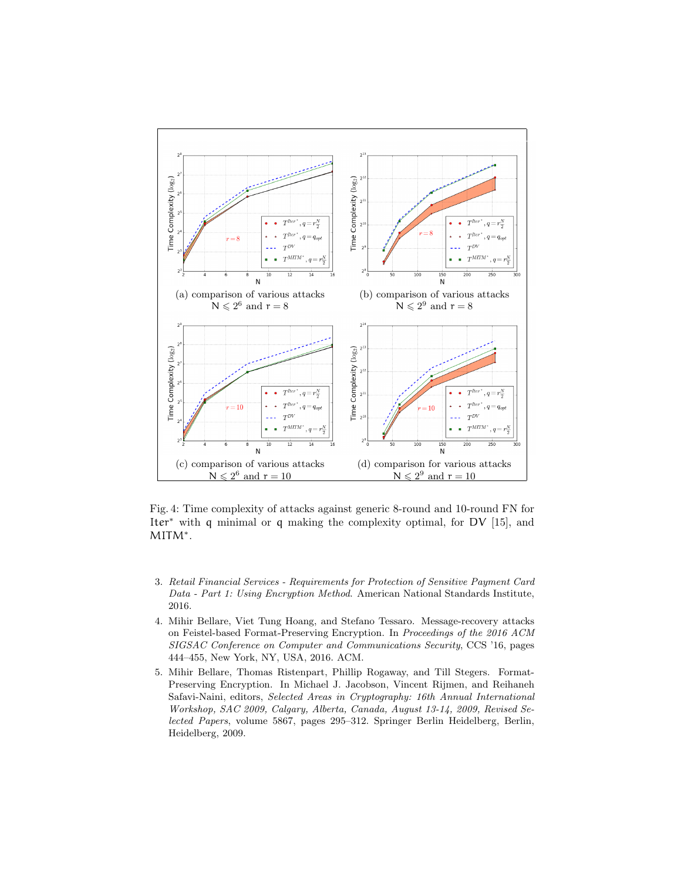

Fig. 4: Time complexity of attacks against generic 8-round and 10-round FN for Iter<sup>∗</sup> with q minimal or q making the complexity optimal, for DV [15], and MITM<sup>∗</sup> .

- 3. Retail Financial Services Requirements for Protection of Sensitive Payment Card Data - Part 1: Using Encryption Method. American National Standards Institute, 2016.
- 4. Mihir Bellare, Viet Tung Hoang, and Stefano Tessaro. Message-recovery attacks on Feistel-based Format-Preserving Encryption. In Proceedings of the 2016 ACM SIGSAC Conference on Computer and Communications Security, CCS '16, pages 444–455, New York, NY, USA, 2016. ACM.
- 5. Mihir Bellare, Thomas Ristenpart, Phillip Rogaway, and Till Stegers. Format-Preserving Encryption. In Michael J. Jacobson, Vincent Rijmen, and Reihaneh Safavi-Naini, editors, Selected Areas in Cryptography: 16th Annual International Workshop, SAC 2009, Calgary, Alberta, Canada, August 13-14, 2009, Revised Selected Papers, volume 5867, pages 295–312. Springer Berlin Heidelberg, Berlin, Heidelberg, 2009.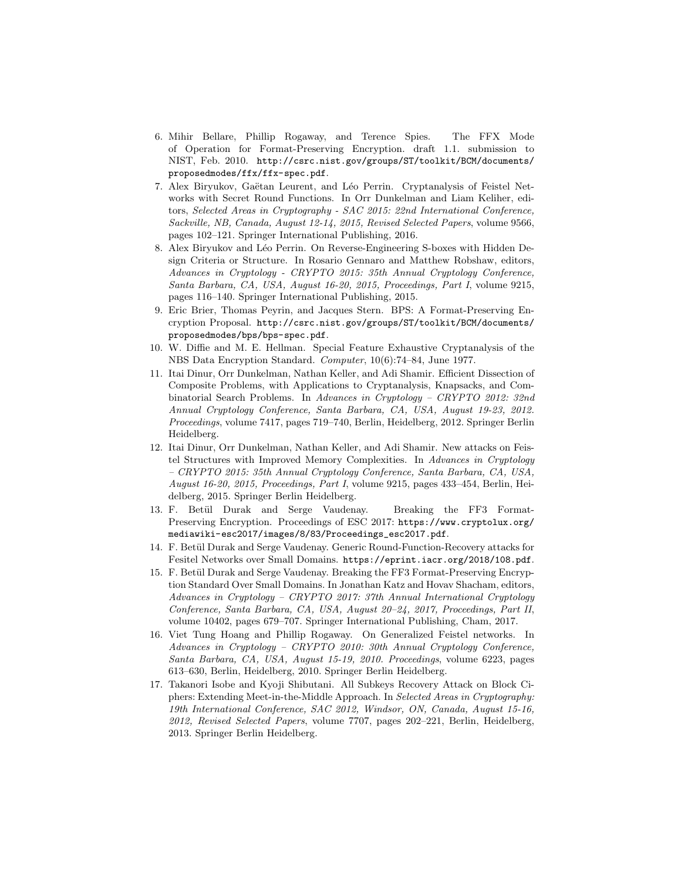- 6. Mihir Bellare, Phillip Rogaway, and Terence Spies. The FFX Mode of Operation for Format-Preserving Encryption. draft 1.1. submission to NIST, Feb. 2010. http://csrc.nist.gov/groups/ST/toolkit/BCM/documents/ proposedmodes/ffx/ffx-spec.pdf.
- 7. Alex Biryukov, Gaëtan Leurent, and Léo Perrin. Cryptanalysis of Feistel Networks with Secret Round Functions. In Orr Dunkelman and Liam Keliher, editors, Selected Areas in Cryptography - SAC 2015: 22nd International Conference, Sackville, NB, Canada, August 12-14, 2015, Revised Selected Papers, volume 9566, pages 102–121. Springer International Publishing, 2016.
- 8. Alex Biryukov and Léo Perrin. On Reverse-Engineering S-boxes with Hidden Design Criteria or Structure. In Rosario Gennaro and Matthew Robshaw, editors, Advances in Cryptology - CRYPTO 2015: 35th Annual Cryptology Conference, Santa Barbara, CA, USA, August 16-20, 2015, Proceedings, Part I, volume 9215, pages 116–140. Springer International Publishing, 2015.
- 9. Eric Brier, Thomas Peyrin, and Jacques Stern. BPS: A Format-Preserving Encryption Proposal. http://csrc.nist.gov/groups/ST/toolkit/BCM/documents/ proposedmodes/bps/bps-spec.pdf.
- 10. W. Diffie and M. E. Hellman. Special Feature Exhaustive Cryptanalysis of the NBS Data Encryption Standard. Computer, 10(6):74–84, June 1977.
- 11. Itai Dinur, Orr Dunkelman, Nathan Keller, and Adi Shamir. Efficient Dissection of Composite Problems, with Applications to Cryptanalysis, Knapsacks, and Combinatorial Search Problems. In Advances in Cryptology – CRYPTO 2012: 32nd Annual Cryptology Conference, Santa Barbara, CA, USA, August 19-23, 2012. Proceedings, volume 7417, pages 719–740, Berlin, Heidelberg, 2012. Springer Berlin Heidelberg.
- 12. Itai Dinur, Orr Dunkelman, Nathan Keller, and Adi Shamir. New attacks on Feistel Structures with Improved Memory Complexities. In Advances in Cryptology – CRYPTO 2015: 35th Annual Cryptology Conference, Santa Barbara, CA, USA, August 16-20, 2015, Proceedings, Part I, volume 9215, pages 433–454, Berlin, Heidelberg, 2015. Springer Berlin Heidelberg.
- 13. F. Betül Durak and Serge Vaudenay. Breaking the FF3 Format-Preserving Encryption. Proceedings of ESC 2017: https://www.cryptolux.org/ mediawiki-esc2017/images/8/83/Proceedings\_esc2017.pdf.
- 14. F. Betül Durak and Serge Vaudenay. Generic Round-Function-Recovery attacks for Fesitel Networks over Small Domains. https://eprint.iacr.org/2018/108.pdf.
- 15. F. Betül Durak and Serge Vaudenay. Breaking the FF3 Format-Preserving Encryption Standard Over Small Domains. In Jonathan Katz and Hovav Shacham, editors, Advances in Cryptology – CRYPTO 2017: 37th Annual International Cryptology Conference, Santa Barbara, CA, USA, August 20–24, 2017, Proceedings, Part II, volume 10402, pages 679–707. Springer International Publishing, Cham, 2017.
- 16. Viet Tung Hoang and Phillip Rogaway. On Generalized Feistel networks. In Advances in Cryptology – CRYPTO 2010: 30th Annual Cryptology Conference, Santa Barbara, CA, USA, August 15-19, 2010. Proceedings, volume 6223, pages 613–630, Berlin, Heidelberg, 2010. Springer Berlin Heidelberg.
- 17. Takanori Isobe and Kyoji Shibutani. All Subkeys Recovery Attack on Block Ciphers: Extending Meet-in-the-Middle Approach. In Selected Areas in Cryptography: 19th International Conference, SAC 2012, Windsor, ON, Canada, August 15-16, 2012, Revised Selected Papers, volume 7707, pages 202–221, Berlin, Heidelberg, 2013. Springer Berlin Heidelberg.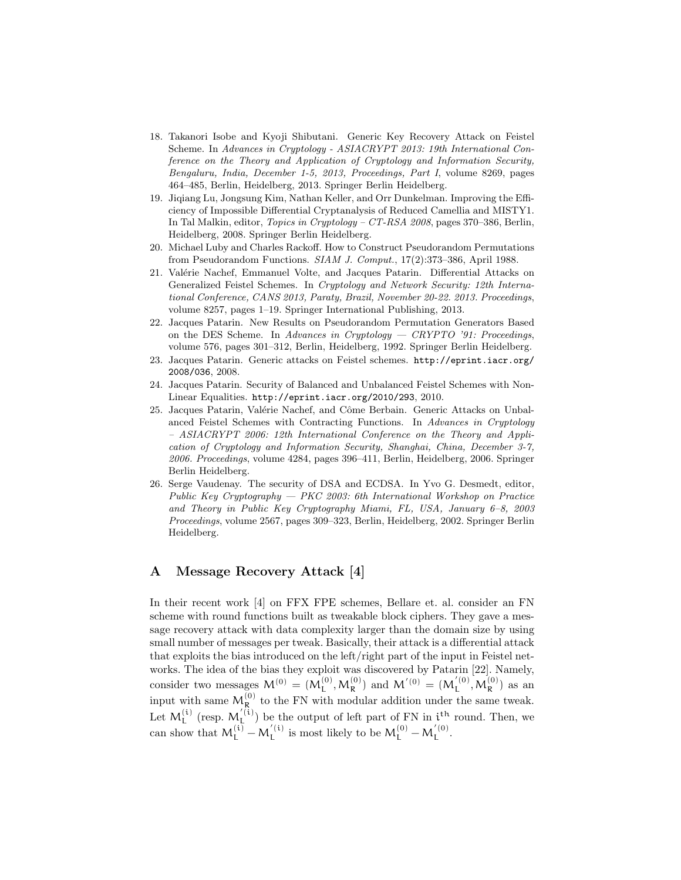- 18. Takanori Isobe and Kyoji Shibutani. Generic Key Recovery Attack on Feistel Scheme. In Advances in Cryptology - ASIACRYPT 2013: 19th International Conference on the Theory and Application of Cryptology and Information Security, Bengaluru, India, December 1-5, 2013, Proceedings, Part I, volume 8269, pages 464–485, Berlin, Heidelberg, 2013. Springer Berlin Heidelberg.
- 19. Jiqiang Lu, Jongsung Kim, Nathan Keller, and Orr Dunkelman. Improving the Efficiency of Impossible Differential Cryptanalysis of Reduced Camellia and MISTY1. In Tal Malkin, editor, Topics in Cryptology – CT-RSA 2008, pages 370–386, Berlin, Heidelberg, 2008. Springer Berlin Heidelberg.
- 20. Michael Luby and Charles Rackoff. How to Construct Pseudorandom Permutations from Pseudorandom Functions. SIAM J. Comput., 17(2):373–386, April 1988.
- 21. Valérie Nachef, Emmanuel Volte, and Jacques Patarin. Differential Attacks on Generalized Feistel Schemes. In Cryptology and Network Security: 12th International Conference, CANS 2013, Paraty, Brazil, November 20-22. 2013. Proceedings, volume 8257, pages 1–19. Springer International Publishing, 2013.
- 22. Jacques Patarin. New Results on Pseudorandom Permutation Generators Based on the DES Scheme. In Advances in Cryptology  $-$  CRYPTO '91: Proceedings, volume 576, pages 301–312, Berlin, Heidelberg, 1992. Springer Berlin Heidelberg.
- 23. Jacques Patarin. Generic attacks on Feistel schemes. http://eprint.iacr.org/ 2008/036, 2008.
- 24. Jacques Patarin. Security of Balanced and Unbalanced Feistel Schemes with Non-Linear Equalities. http://eprint.iacr.org/2010/293, 2010.
- 25. Jacques Patarin, Valérie Nachef, and Côme Berbain. Generic Attacks on Unbalanced Feistel Schemes with Contracting Functions. In Advances in Cryptology – ASIACRYPT 2006: 12th International Conference on the Theory and Application of Cryptology and Information Security, Shanghai, China, December 3-7, 2006. Proceedings, volume 4284, pages 396–411, Berlin, Heidelberg, 2006. Springer Berlin Heidelberg.
- 26. Serge Vaudenay. The security of DSA and ECDSA. In Yvo G. Desmedt, editor, Public Key Cryptography — PKC 2003: 6th International Workshop on Practice and Theory in Public Key Cryptography Miami, FL, USA, January 6–8, 2003 Proceedings, volume 2567, pages 309–323, Berlin, Heidelberg, 2002. Springer Berlin Heidelberg.

### A Message Recovery Attack [4]

In their recent work [4] on FFX FPE schemes, Bellare et. al. consider an FN scheme with round functions built as tweakable block ciphers. They gave a message recovery attack with data complexity larger than the domain size by using small number of messages per tweak. Basically, their attack is a differential attack that exploits the bias introduced on the left/right part of the input in Feistel networks. The idea of the bias they exploit was discovered by Patarin [22]. Namely, consider two messages  $M^{(0)} = (M_L^{(0)}, M_R^{(0)})$  and  $M'^{(0)} = (M_L'^{(0)})$  $L^{(0)}$ ,  $M_R^{(0)}$ ) as an input with same  $M_R^{(0)}$  to the FN with modular addition under the same tweak. Let  $M_L^{(i)}$  (resp.  $M_L^{'(i)}$  $L^{(1)}$  be the output of left part of FN in  $i<sup>th</sup>$  round. Then, we can show that  $M_L^{(i)} - M_L^{'(i)}$  $\mu_{\rm L}^{\prime\,\rm (i)}$  is most likely to be  $M_{\rm L}^{(0)}-M_{\rm L}^{\prime\,\rm (0)}$  $L^{(U)}$ .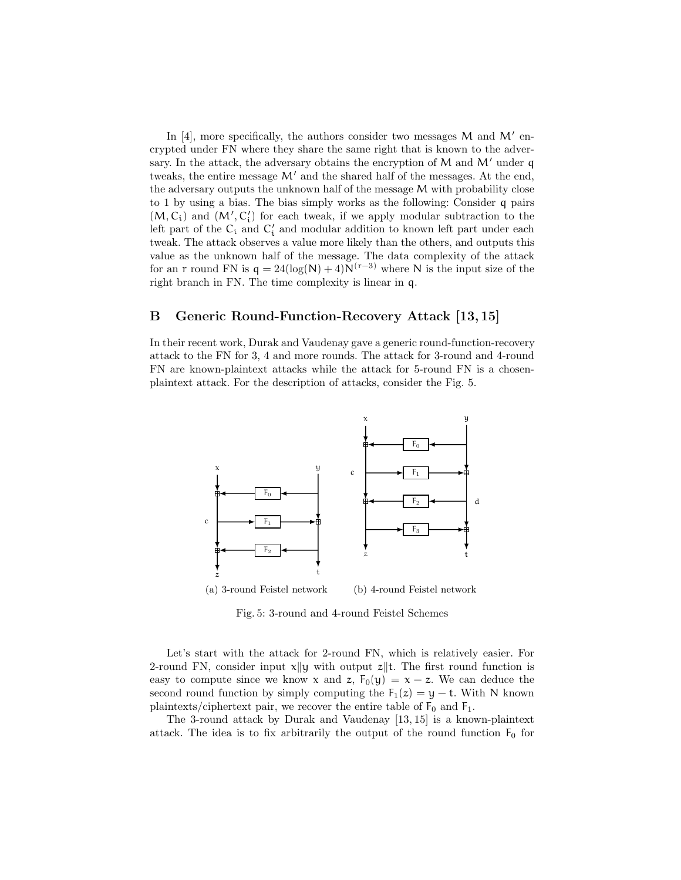In  $[4]$ , more specifically, the authors consider two messages M and M' encrypted under FN where they share the same right that is known to the adversary. In the attack, the adversary obtains the encryption of  $M$  and  $M'$  under q tweaks, the entire message  $M'$  and the shared half of the messages. At the end, the adversary outputs the unknown half of the message M with probability close to 1 by using a bias. The bias simply works as the following: Consider q pairs  $(M, C_i)$  and  $(M', C'_i)$  for each tweak, if we apply modular subtraction to the left part of the  $\mathsf{C}_\mathfrak{i}$  and  $\mathsf{C}'_\mathfrak{i}$  and modular addition to known left part under each tweak. The attack observes a value more likely than the others, and outputs this value as the unknown half of the message. The data complexity of the attack for an r round FN is  $q = 24(\log(N) + 4)N(r-3)$  where N is the input size of the right branch in FN. The time complexity is linear in q.

### B Generic Round-Function-Recovery Attack [13, 15]

In their recent work, Durak and Vaudenay gave a generic round-function-recovery attack to the FN for 3, 4 and more rounds. The attack for 3-round and 4-round FN are known-plaintext attacks while the attack for 5-round FN is a chosenplaintext attack. For the description of attacks, consider the Fig. 5.



Fig. 5: 3-round and 4-round Feistel Schemes

Let's start with the attack for 2-round FN, which is relatively easier. For 2-round FN, consider input  $x||y$  with output  $z||t$ . The first round function is easy to compute since we know x and z,  $F_0(y) = x - z$ . We can deduce the second round function by simply computing the  $F_1(z) = y - t$ . With N known plaintexts/ciphertext pair, we recover the entire table of  $F_0$  and  $F_1$ .

The 3-round attack by Durak and Vaudenay [13, 15] is a known-plaintext attack. The idea is to fix arbitrarily the output of the round function  $F_0$  for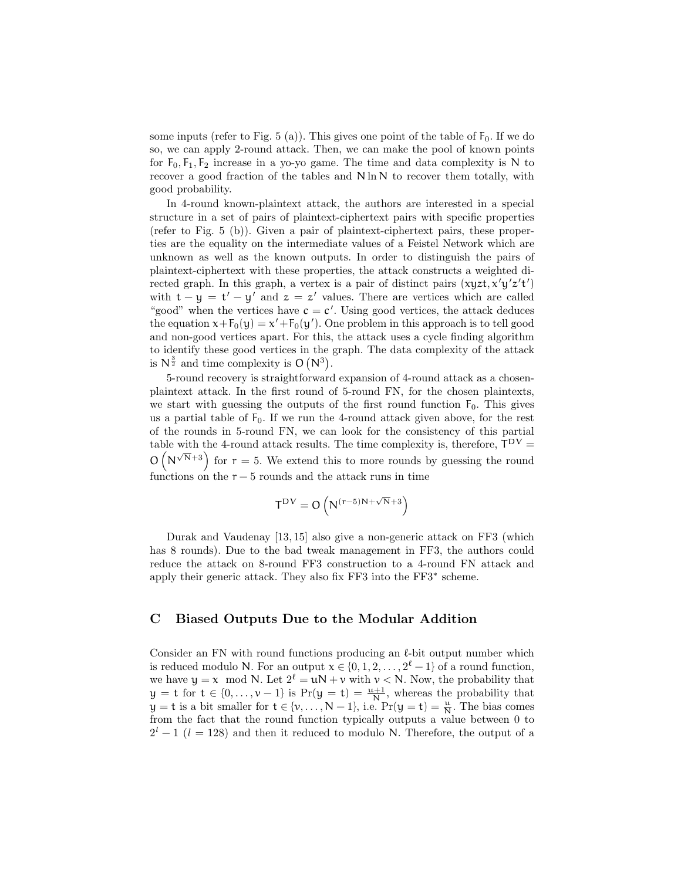some inputs (refer to Fig. 5 (a)). This gives one point of the table of  $F_0$ . If we do so, we can apply 2-round attack. Then, we can make the pool of known points for  $F_0, F_1, F_2$  increase in a yo-yo game. The time and data complexity is N to recover a good fraction of the tables and N ln N to recover them totally, with good probability.

In 4-round known-plaintext attack, the authors are interested in a special structure in a set of pairs of plaintext-ciphertext pairs with specific properties (refer to Fig. 5 (b)). Given a pair of plaintext-ciphertext pairs, these properties are the equality on the intermediate values of a Feistel Network which are unknown as well as the known outputs. In order to distinguish the pairs of plaintext-ciphertext with these properties, the attack constructs a weighted directed graph. In this graph, a vertex is a pair of distinct pairs  $(xyzt, x'y'z't')$ with  $t - y = t' - y'$  and  $z = z'$  values. There are vertices which are called "good" when the vertices have  $c = c'$ . Using good vertices, the attack deduces the equation  $x + F_0(y) = x' + F_0(y')$ . One problem in this approach is to tell good and non-good vertices apart. For this, the attack uses a cycle finding algorithm to identify these good vertices in the graph. The data complexity of the attack is  $N^{\frac{3}{2}}$  and time complexity is  $O(N^3)$ .

5-round recovery is straightforward expansion of 4-round attack as a chosenplaintext attack. In the first round of 5-round FN, for the chosen plaintexts, we start with guessing the outputs of the first round function  $F_0$ . This gives us a partial table of  $F_0$ . If we run the 4-round attack given above, for the rest of the rounds in 5-round FN, we can look for the consistency of this partial table with the 4-round attack results. The time complexity is, therefore,  $T^{DV} =$  $O(N^{\sqrt{N}+3})$  for  $r = 5$ . We extend this to more rounds by guessing the round functions on the  $r-5$  rounds and the attack runs in time

$$
T^{DV}=O\left(N^{(r-5)N+\sqrt{N}+3}\right)
$$

Durak and Vaudenay [13, 15] also give a non-generic attack on FF3 (which has 8 rounds). Due to the bad tweak management in FF3, the authors could reduce the attack on 8-round FF3 construction to a 4-round FN attack and apply their generic attack. They also fix FF3 into the FF3<sup>∗</sup> scheme.

### C Biased Outputs Due to the Modular Addition

Consider an FN with round functions producing an  $\ell$ -bit output number which is reduced modulo N. For an output  $x \in \{0, 1, 2, \ldots, 2^{\ell} - 1\}$  of a round function, we have  $y = x \mod N$ . Let  $2^{\ell} = uN + v$  with  $v < N$ . Now, the probability that  $y = t$  for  $t \in \{0, ..., v-1\}$  is  $Pr(y = t) = \frac{u+1}{N}$ , whereas the probability that  $y = t$  is a bit smaller for  $t \in \{v, ..., N-1\}$ , i.e.  $Pr(y = t) = \frac{u}{N}$ . The bias comes from the fact that the round function typically outputs a value between 0 to  $2^{l} - 1$  ( $l = 128$ ) and then it reduced to modulo N. Therefore, the output of a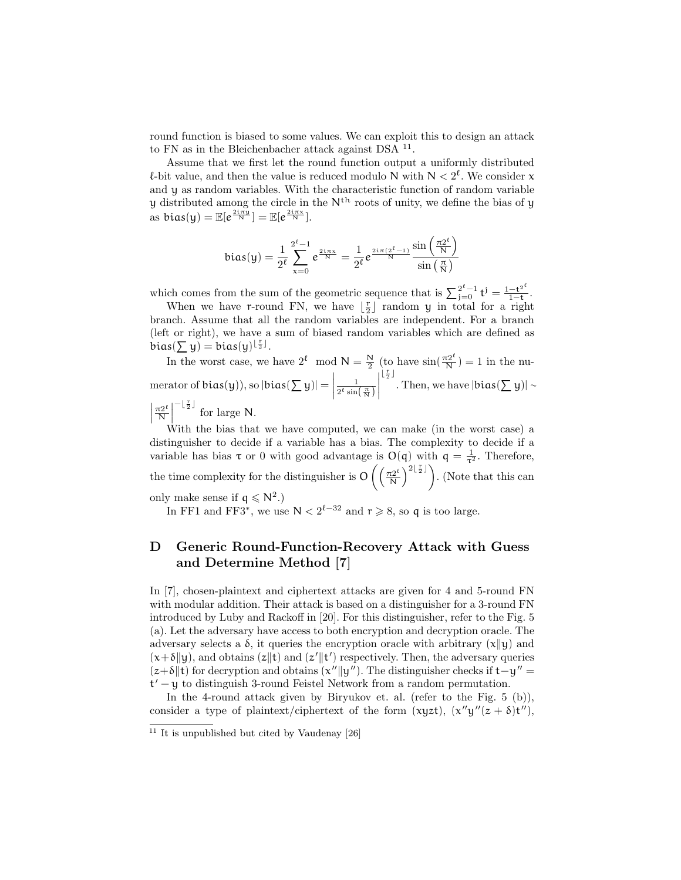round function is biased to some values. We can exploit this to design an attack to FN as in the Bleichenbacher attack against DSA <sup>11</sup>.

Assume that we first let the round function output a uniformly distributed  $\ell$ -bit value, and then the value is reduced modulo N with  $N < 2^{\ell}$ . We consider x and y as random variables. With the characteristic function of random variable  $y$  distributed among the circle in the  $N<sup>th</sup>$  roots of unity, we define the bias of  $y$ as  $bias(y) = \mathbb{E}[e^{\frac{2i\pi y}{N}}] = \mathbb{E}[e^{\frac{2i\pi x}{N}}].$ 

$$
bias(y)=\frac{1}{2^{\ell}}\sum_{x=0}^{2^{\ell}-1}e^{\frac{2i\pi x}{N}}=\frac{1}{2^{\ell}}e^{\frac{2i\pi(2^{\ell}-1)}{N}}\frac{\sin\left(\frac{\pi 2^{\ell}}{N}\right)}{\sin\left(\frac{\pi}{N}\right)}
$$

which comes from the sum of the geometric sequence that is  $\sum_{j=0}^{2^{\ell}-1} t^j = \frac{1-t^{2^{\ell}}}{1-t}$  $\frac{-t^2}{1-t}$ .

When we have r-round FN, we have  $\lfloor \frac{r}{2} \rfloor$  random y in total for a right branch. Assume that all the random variables are independent. For a branch (left or right), we have a sum of biased random variables which are defined as  $bias(\sum y) = bias(y)^{\lfloor \frac{r}{2} \rfloor}.$ 

In the worst case, we have  $2^{\ell} \mod N = \frac{N}{2}$  (to have  $\sin(\frac{\pi 2^{\ell}}{N}) = 1$  in the numerator of bias(y)), so  $|\text{bias}(\sum y)| = \Big|$ 1  $2^{\ell} \sin\left(\frac{\pi}{N}\right)$  $\begin{array}{c} \hline \rule{0pt}{2.5ex} \\ \rule{0pt}{2.5ex} \end{array}$  $\left\lfloor \frac{r}{2}\right\rfloor$ . Then, we have  $|bias(\sum y)| \sim$   $\pi 2^{\ell}$  $\frac{\tau 2^{\ell}}{\mathsf{N}}\Big|$  $-\lfloor \frac{r}{2} \rfloor$  for large N.

With the bias that we have computed, we can make (in the worst case) a distinguisher to decide if a variable has a bias. The complexity to decide if a variable has bias  $\tau$  or 0 with good advantage is  $O(q)$  with  $q = \frac{1}{\tau^2}$ . Therefore, the time complexity for the distinguisher is  $O\left(\frac{\pi 2^{\ell}}{N}\right)$  $\left(\frac{\mathcal{L}2^{\ell}}{N}\right)^{2\lfloor \frac{r}{2}\rfloor}$ . (Note that this can only make sense if  $q \leq N^2$ .)

In FF1 and FF3<sup>\*</sup>, we use  $N < 2^{\ell-32}$  and  $r \ge 8$ , so q is too large.

# D Generic Round-Function-Recovery Attack with Guess and Determine Method [7]

In [7], chosen-plaintext and ciphertext attacks are given for 4 and 5-round FN with modular addition. Their attack is based on a distinguisher for a 3-round FN introduced by Luby and Rackoff in [20]. For this distinguisher, refer to the Fig. 5 (a). Let the adversary have access to both encryption and decryption oracle. The adversary selects a  $\delta$ , it queries the encryption oracle with arbitrary (x||y|) and  $(x+\delta||y)$ , and obtains  $(z||t)$  and  $(z'||t')$  respectively. Then, the adversary queries  $(z+\delta||t)$  for decryption and obtains  $(x''||y'')$ . The distinguisher checks if t−y'' = t' − y to distinguish 3-round Feistel Network from a random permutation.

In the 4-round attack given by Biryukov et. al. (refer to the Fig. 5 (b)), consider a type of plaintext/ciphertext of the form  $(xyzt)$ ,  $(x''y''(z + \delta)t'')$ ,

 $11$  It is unpublished but cited by Vaudenay [26]